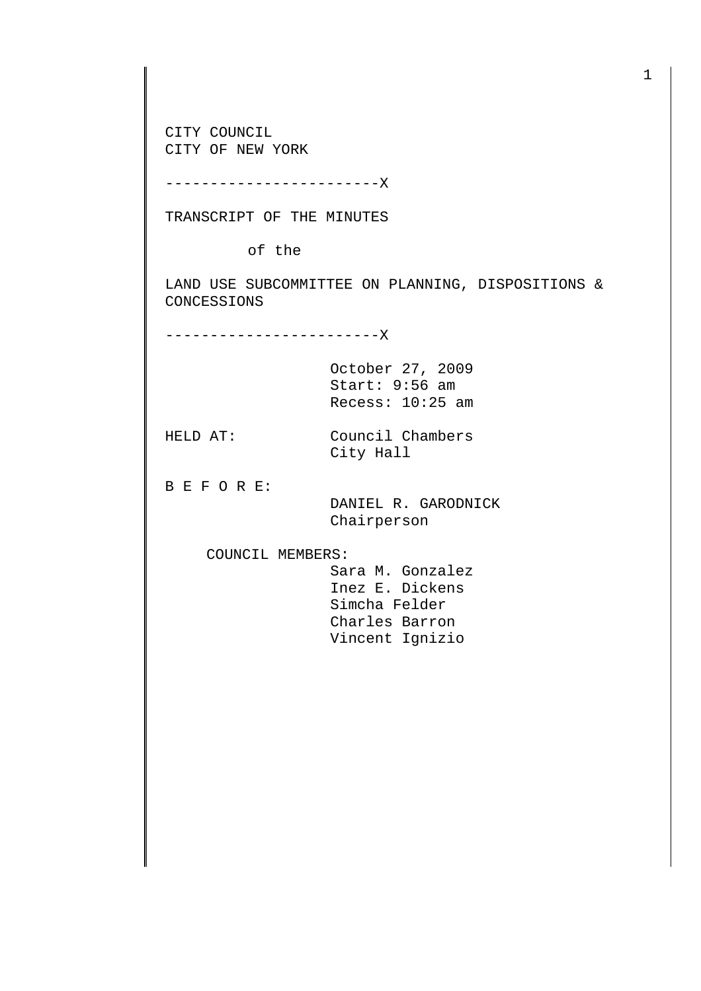CITY COUNCIL CITY OF NEW YORK

------------------------X

TRANSCRIPT OF THE MINUTES

of the

LAND USE SUBCOMMITTEE ON PLANNING, DISPOSITIONS & CONCESSIONS

------------------------X

October 27, 2009 Start: 9:56 am Recess: 10:25 am

HELD AT: Council Chambers City Hall

B E F O R E:

 DANIEL R. GARODNICK Chairperson

COUNCIL MEMBERS:

 Sara M. Gonzalez Inez E. Dickens Simcha Felder Charles Barron Vincent Ignizio

1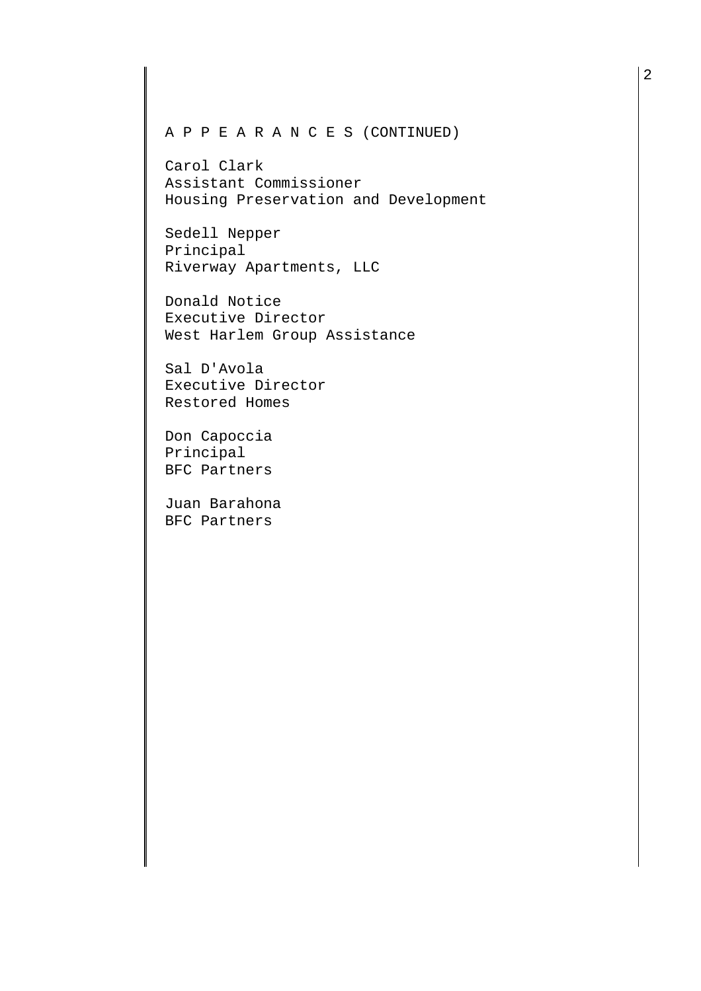## A P P E A R A N C E S (CONTINUED)

Carol Clark Assistant Commissioner Housing Preservation and Development

Sedell Nepper Principal Riverway Apartments, LLC

Donald Notice Executive Director West Harlem Group Assistance

Sal D'Avola Executive Director Restored Homes

Don Capoccia Principal BFC Partners

Juan Barahona BFC Partners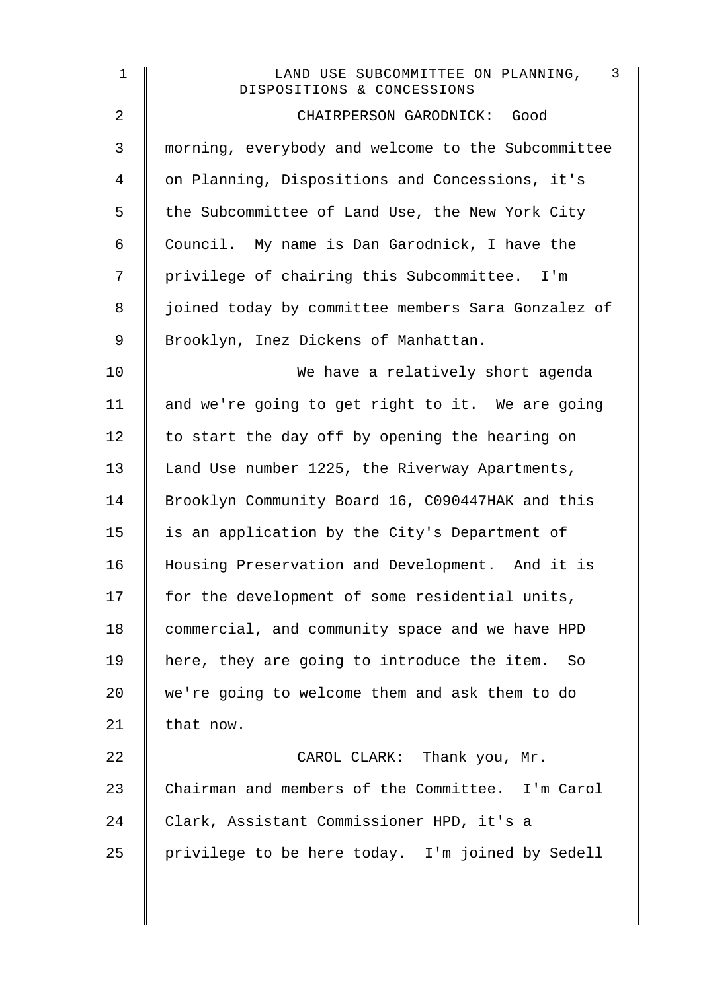| $\mathbf 1$    | $\overline{3}$<br>LAND USE SUBCOMMITTEE ON PLANNING,<br>DISPOSITIONS & CONCESSIONS |
|----------------|------------------------------------------------------------------------------------|
| $\overline{2}$ | CHAIRPERSON GARODNICK: Good                                                        |
| 3              | morning, everybody and welcome to the Subcommittee                                 |
| 4              | on Planning, Dispositions and Concessions, it's                                    |
| 5              | the Subcommittee of Land Use, the New York City                                    |
| 6              | Council. My name is Dan Garodnick, I have the                                      |
| 7              | privilege of chairing this Subcommittee. I'm                                       |
| 8              | joined today by committee members Sara Gonzalez of                                 |
| 9              | Brooklyn, Inez Dickens of Manhattan.                                               |
| 10             | We have a relatively short agenda                                                  |
| 11             | and we're going to get right to it. We are going                                   |
| 12             | to start the day off by opening the hearing on                                     |
| 13             | Land Use number 1225, the Riverway Apartments,                                     |
| 14             | Brooklyn Community Board 16, C090447HAK and this                                   |
| 15             | is an application by the City's Department of                                      |
| 16             | Housing Preservation and Development. And it is                                    |
| 17             | for the development of some residential units,                                     |
| 18             | commercial, and community space and we have HPD                                    |
| 19             | here, they are going to introduce the item.<br>So                                  |
| 20             | we're going to welcome them and ask them to do                                     |
| 21             | that now.                                                                          |
| 22             | CAROL CLARK: Thank you, Mr.                                                        |
| 23             | Chairman and members of the Committee. I'm Carol                                   |
| 24             | Clark, Assistant Commissioner HPD, it's a                                          |
| 25             | privilege to be here today. I'm joined by Sedell                                   |
|                |                                                                                    |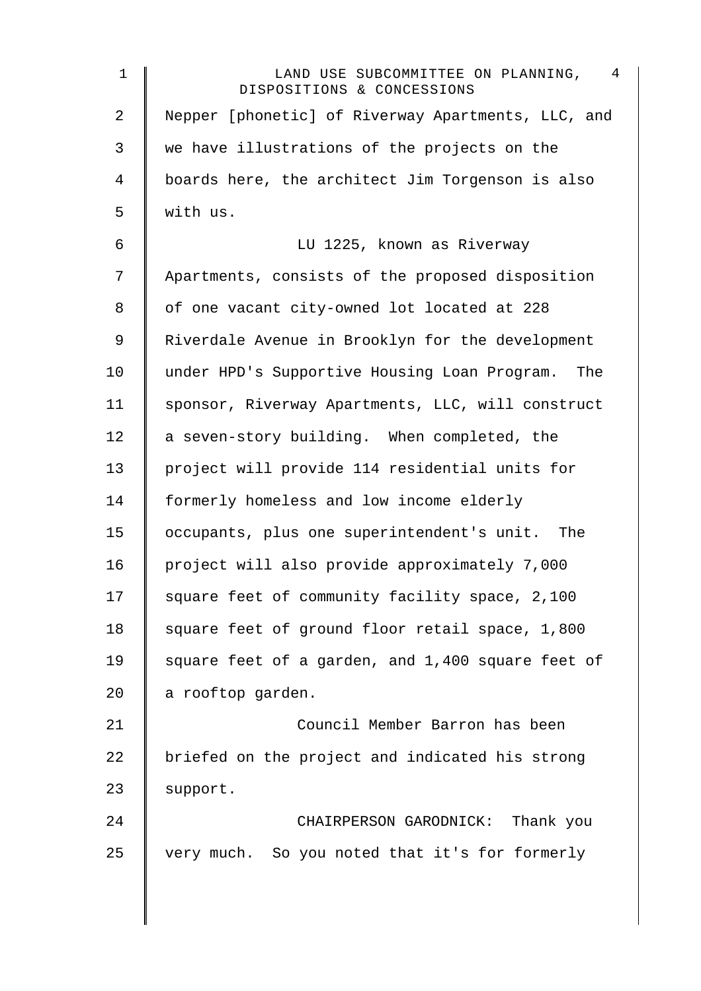| $\mathbf 1$    | 4<br>LAND USE SUBCOMMITTEE ON PLANNING,<br>DISPOSITIONS & CONCESSIONS |
|----------------|-----------------------------------------------------------------------|
| $\overline{a}$ | Nepper [phonetic] of Riverway Apartments, LLC, and                    |
| 3              | we have illustrations of the projects on the                          |
| $\overline{4}$ | boards here, the architect Jim Torgenson is also                      |
| 5              | with us.                                                              |
| 6              | LU 1225, known as Riverway                                            |
| 7              | Apartments, consists of the proposed disposition                      |
| 8              | of one vacant city-owned lot located at 228                           |
| $\mathsf 9$    | Riverdale Avenue in Brooklyn for the development                      |
| 10             | under HPD's Supportive Housing Loan Program.<br>The                   |
| 11             | sponsor, Riverway Apartments, LLC, will construct                     |
| 12             | a seven-story building. When completed, the                           |
| 13             | project will provide 114 residential units for                        |
| 14             | formerly homeless and low income elderly                              |
| 15             | occupants, plus one superintendent's unit. The                        |
| 16             | project will also provide approximately 7,000                         |
| 17             | square feet of community facility space, 2,100                        |
| 18             | square feet of ground floor retail space, 1,800                       |
| 19             | square feet of a garden, and 1,400 square feet of                     |
| 20             | a rooftop garden.                                                     |
| 21             | Council Member Barron has been                                        |
| 22             | briefed on the project and indicated his strong                       |
| 23             | support.                                                              |
| 24             | CHAIRPERSON GARODNICK: Thank you                                      |
| 25             | very much. So you noted that it's for formerly                        |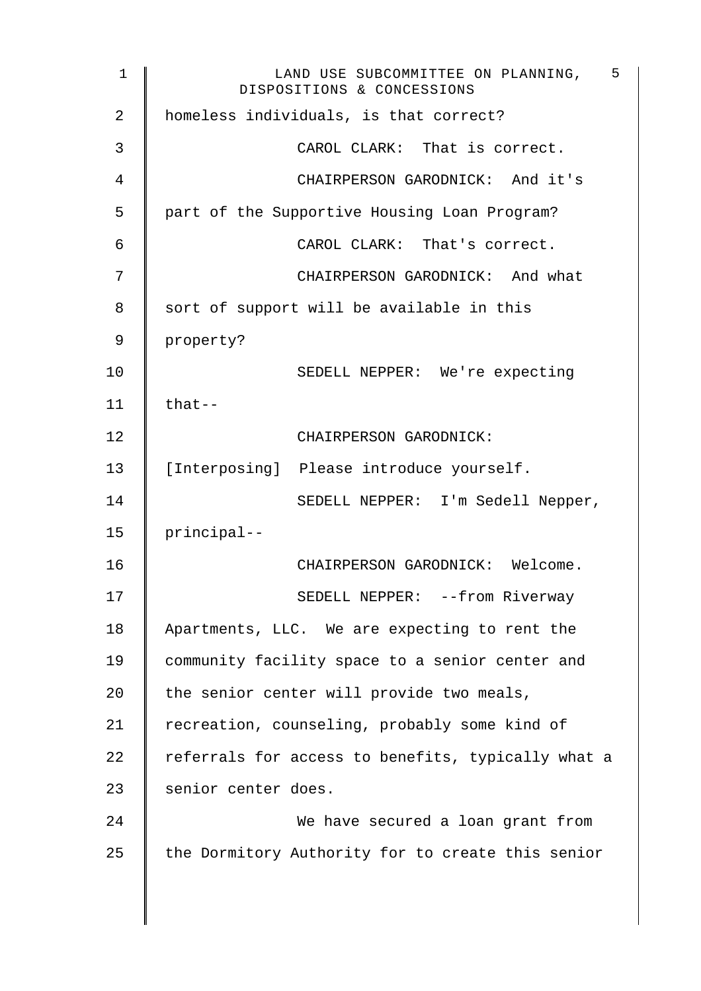1 CHAND USE SUBCOMMITTEE ON PLANNING, DISPOSITIONS & CONCESSIONS 5 2 | homeless individuals, is that correct? 3 CAROL CLARK: That is correct. 4 CHAIRPERSON GARODNICK: And it's 5 part of the Supportive Housing Loan Program? 6 CAROL CLARK: That's correct. 7 | CHAIRPERSON GARODNICK: And what 8 Sort of support will be available in this 9 property? 10 SEDELL NEPPER: We're expecting  $11$  | that--12 CHAIRPERSON GARODNICK: 13 | [Interposing] Please introduce yourself. 14 | SEDELL NEPPER: I'm Sedell Nepper, 15 principal-- 16 CHAIRPERSON GARODNICK: Welcome. 17 | SEDELL NEPPER: --from Riverway 18 Apartments, LLC. We are expecting to rent the 19 community facility space to a senior center and 20  $\parallel$  the senior center will provide two meals, 21 Tecreation, counseling, probably some kind of 22  $\parallel$  referrals for access to benefits, typically what a 23 senior center does. 24 **We have secured a loan grant from** 25  $\parallel$  the Dormitory Authority for to create this senior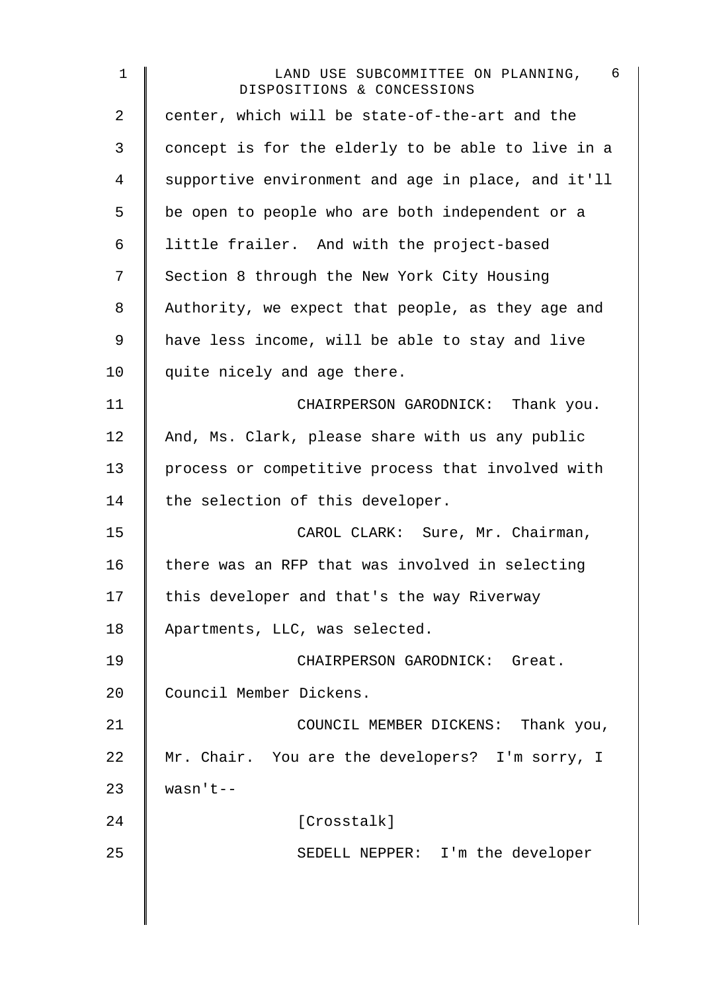| $\mathbf 1$ | $6\overline{6}$<br>LAND USE SUBCOMMITTEE ON PLANNING,<br>DISPOSITIONS & CONCESSIONS |
|-------------|-------------------------------------------------------------------------------------|
| 2           | center, which will be state-of-the-art and the                                      |
| 3           | concept is for the elderly to be able to live in a                                  |
| 4           | supportive environment and age in place, and it'll                                  |
| 5           | be open to people who are both independent or a                                     |
| $\epsilon$  | little frailer. And with the project-based                                          |
| 7           | Section 8 through the New York City Housing                                         |
| 8           | Authority, we expect that people, as they age and                                   |
| $\mathsf 9$ | have less income, will be able to stay and live                                     |
| 10          | quite nicely and age there.                                                         |
| 11          | CHAIRPERSON GARODNICK: Thank you.                                                   |
| 12          | And, Ms. Clark, please share with us any public                                     |
| 13          | process or competitive process that involved with                                   |
| 14          | the selection of this developer.                                                    |
| 15          | CAROL CLARK: Sure, Mr. Chairman,                                                    |
| 16          | there was an RFP that was involved in selecting                                     |
| 17          | this developer and that's the way Riverway                                          |
| 18          | Apartments, LLC, was selected.                                                      |
| 19          | CHAIRPERSON GARODNICK: Great.                                                       |
| 20          | Council Member Dickens.                                                             |
| 21          | COUNCIL MEMBER DICKENS: Thank you,                                                  |
| 22          | Mr. Chair. You are the developers? I'm sorry, I                                     |
| 23          | $wasn't--$                                                                          |
| 24          | [Crosstalk]                                                                         |
| 25          | SEDELL NEPPER: I'm the developer                                                    |
|             |                                                                                     |
|             |                                                                                     |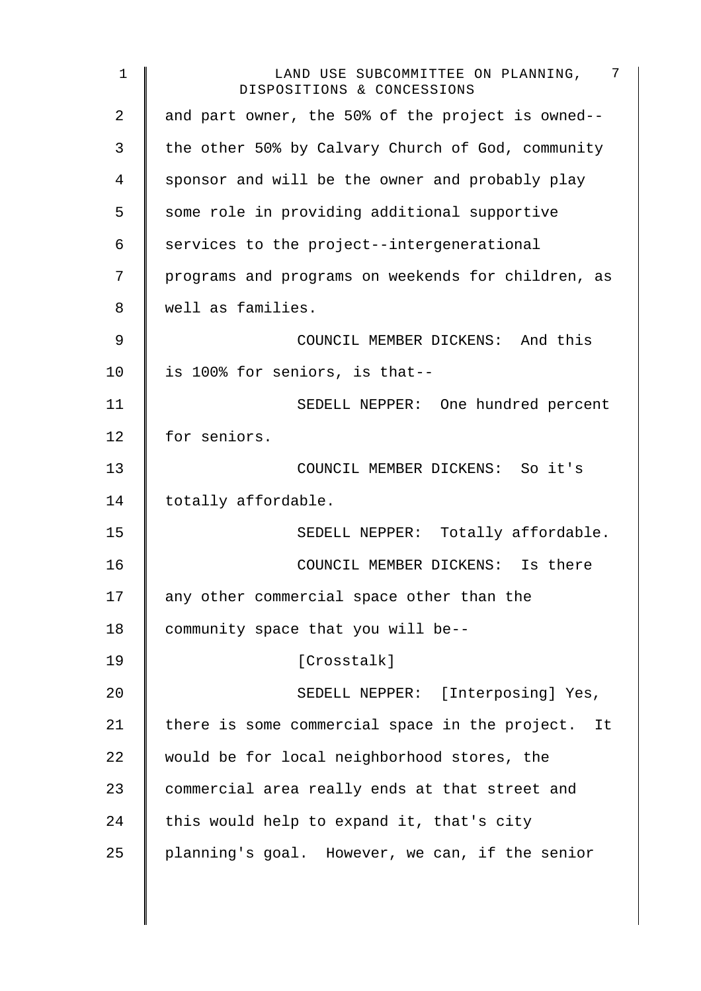| 1  | -7<br>LAND USE SUBCOMMITTEE ON PLANNING,<br>DISPOSITIONS & CONCESSIONS |
|----|------------------------------------------------------------------------|
| 2  | and part owner, the 50% of the project is owned--                      |
| 3  | the other 50% by Calvary Church of God, community                      |
| 4  | sponsor and will be the owner and probably play                        |
| 5  | some role in providing additional supportive                           |
| 6  | services to the project--intergenerational                             |
| 7  | programs and programs on weekends for children, as                     |
| 8  | well as families.                                                      |
| 9  | COUNCIL MEMBER DICKENS: And this                                       |
| 10 | is 100% for seniors, is that--                                         |
| 11 | SEDELL NEPPER: One hundred percent                                     |
| 12 | for seniors.                                                           |
| 13 | COUNCIL MEMBER DICKENS: So it's                                        |
| 14 | totally affordable.                                                    |
| 15 | SEDELL NEPPER: Totally affordable.                                     |
| 16 | COUNCIL MEMBER DICKENS: Is there                                       |
| 17 | any other commercial space other than the                              |
| 18 | community space that you will be--                                     |
| 19 | [Crosstalk]                                                            |
| 20 | SEDELL NEPPER: [Interposing] Yes,                                      |
| 21 | there is some commercial space in the project. It                      |
| 22 | would be for local neighborhood stores, the                            |
| 23 | commercial area really ends at that street and                         |
| 24 | this would help to expand it, that's city                              |
| 25 | planning's goal. However, we can, if the senior                        |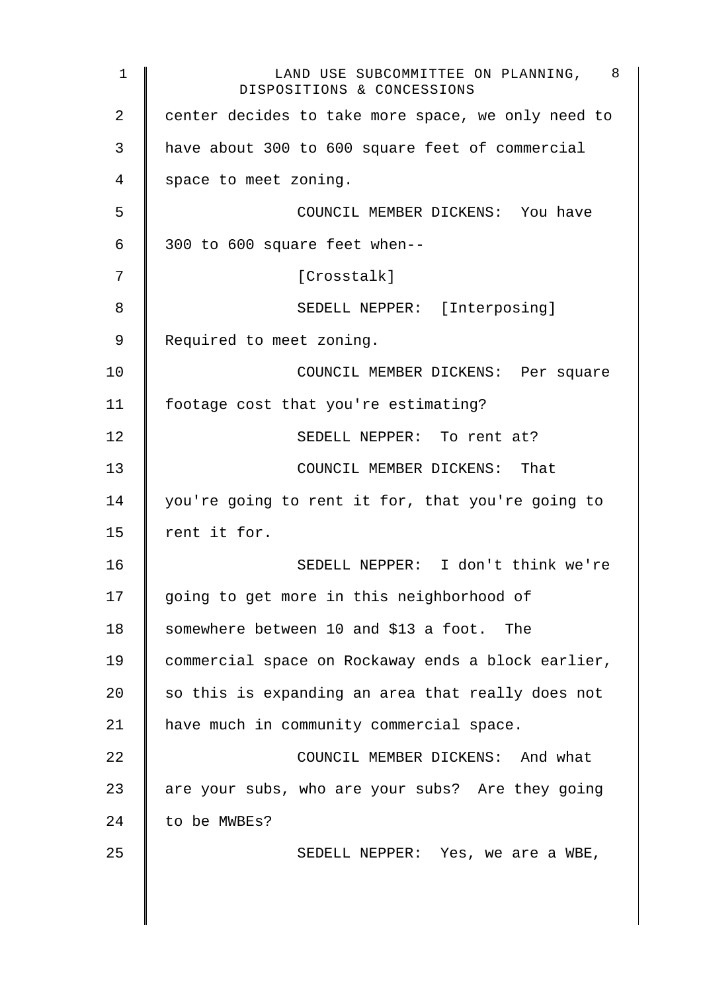| 1  | LAND USE SUBCOMMITTEE ON PLANNING, 8<br>DISPOSITIONS & CONCESSIONS |
|----|--------------------------------------------------------------------|
| 2  | center decides to take more space, we only need to                 |
| 3  | have about 300 to 600 square feet of commercial                    |
| 4  | space to meet zoning.                                              |
| 5  | COUNCIL MEMBER DICKENS: You have                                   |
| 6  | 300 to 600 square feet when--                                      |
| 7  | [Crosstalk]                                                        |
| 8  | SEDELL NEPPER: [Interposing]                                       |
| 9  | Required to meet zoning.                                           |
| 10 | COUNCIL MEMBER DICKENS: Per square                                 |
| 11 | footage cost that you're estimating?                               |
| 12 | SEDELL NEPPER: To rent at?                                         |
| 13 | COUNCIL MEMBER DICKENS: That                                       |
| 14 | you're going to rent it for, that you're going to                  |
| 15 | rent it for.                                                       |
| 16 | SEDELL NEPPER: I don't think we're                                 |
| 17 | going to get more in this neighborhood of                          |
| 18 | somewhere between 10 and \$13 a foot. The                          |
| 19 | commercial space on Rockaway ends a block earlier,                 |
| 20 | so this is expanding an area that really does not                  |
| 21 | have much in community commercial space.                           |
| 22 | COUNCIL MEMBER DICKENS: And what                                   |
| 23 | are your subs, who are your subs? Are they going                   |
| 24 | to be MWBEs?                                                       |
| 25 | SEDELL NEPPER: Yes, we are a WBE,                                  |
|    |                                                                    |
|    |                                                                    |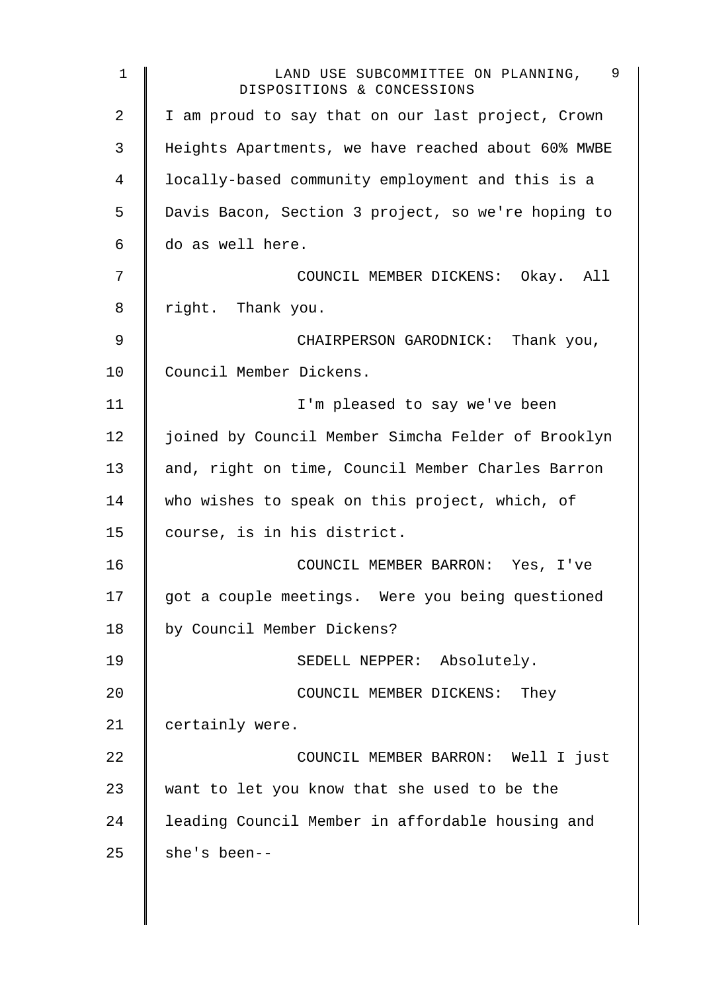| $\mathbf 1$ | LAND USE SUBCOMMITTEE ON PLANNING, 9<br>DISPOSITIONS & CONCESSIONS |
|-------------|--------------------------------------------------------------------|
| 2           | I am proud to say that on our last project, Crown                  |
| 3           | Heights Apartments, we have reached about 60% MWBE                 |
| 4           | locally-based community employment and this is a                   |
| 5           | Davis Bacon, Section 3 project, so we're hoping to                 |
| 6           | do as well here.                                                   |
| 7           | COUNCIL MEMBER DICKENS: Okay. All                                  |
| 8           | right. Thank you.                                                  |
| 9           | CHAIRPERSON GARODNICK: Thank you,                                  |
| 10          | Council Member Dickens.                                            |
| 11          | I'm pleased to say we've been                                      |
| 12          | joined by Council Member Simcha Felder of Brooklyn                 |
| 13          | and, right on time, Council Member Charles Barron                  |
| 14          | who wishes to speak on this project, which, of                     |
| 15          | course, is in his district.                                        |
| 16          | COUNCIL MEMBER BARRON: Yes, I've                                   |
| 17          | got a couple meetings. Were you being questioned                   |
| 18          | by Council Member Dickens?                                         |
| 19          | SEDELL NEPPER: Absolutely.                                         |
| 20          | COUNCIL MEMBER DICKENS: They                                       |
| 21          | certainly were.                                                    |
| 22          | COUNCIL MEMBER BARRON: Well I just                                 |
| 23          | want to let you know that she used to be the                       |
| 24          | leading Council Member in affordable housing and                   |
| 25          | she's been--                                                       |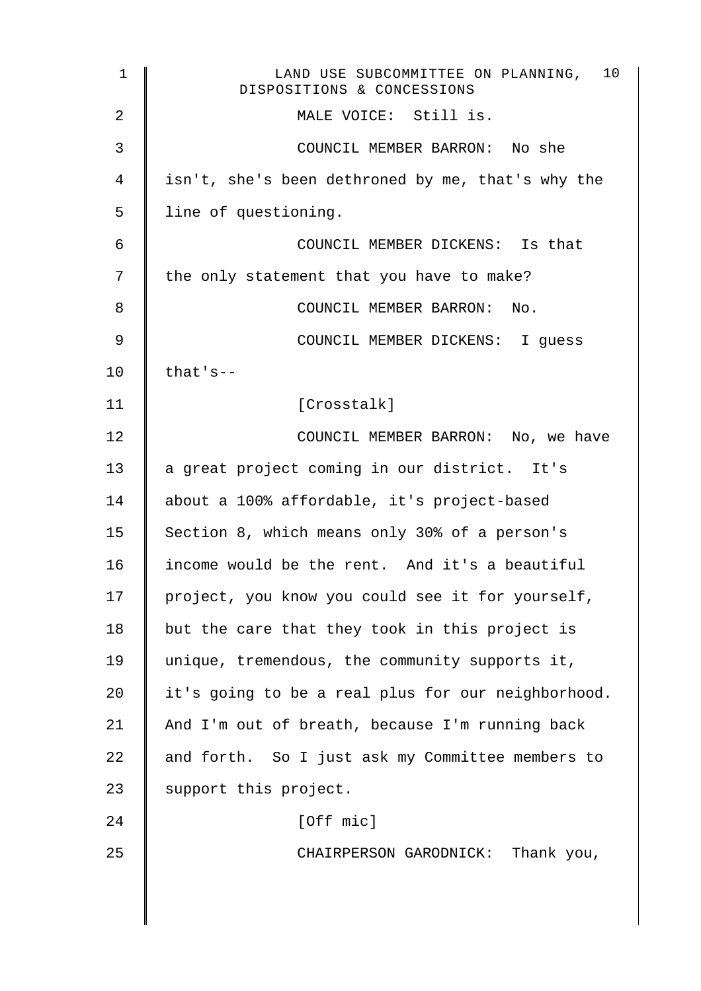| $\mathbf 1$ | 10<br>LAND USE SUBCOMMITTEE ON PLANNING,<br>DISPOSITIONS & CONCESSIONS |
|-------------|------------------------------------------------------------------------|
| 2           | MALE VOICE: Still is.                                                  |
| 3           | COUNCIL MEMBER BARRON: No she                                          |
| 4           | isn't, she's been dethroned by me, that's why the                      |
| 5           | line of questioning.                                                   |
| 6           | COUNCIL MEMBER DICKENS: Is that                                        |
| 7           | the only statement that you have to make?                              |
| 8           | COUNCIL MEMBER BARRON: No.                                             |
| 9           | COUNCIL MEMBER DICKENS: I guess                                        |
| 10          | $that's--$                                                             |
| 11          | [Crosstalk]                                                            |
| 12          | COUNCIL MEMBER BARRON: No, we have                                     |
| 13          | a great project coming in our district. It's                           |
| 14          | about a 100% affordable, it's project-based                            |
| 15          | Section 8, which means only 30% of a person's                          |
| 16          | income would be the rent. And it's a beautiful                         |
| 17          | project, you know you could see it for yourself,                       |
| 18          | but the care that they took in this project is                         |
| 19          | unique, tremendous, the community supports it,                         |
| 20          | it's going to be a real plus for our neighborhood.                     |
| 21          | And I'm out of breath, because I'm running back                        |
| 22          | and forth. So I just ask my Committee members to                       |
| 23          | support this project.                                                  |
| 24          | [Off mic]                                                              |
| 25          | CHAIRPERSON GARODNICK: Thank you,                                      |
|             |                                                                        |
|             |                                                                        |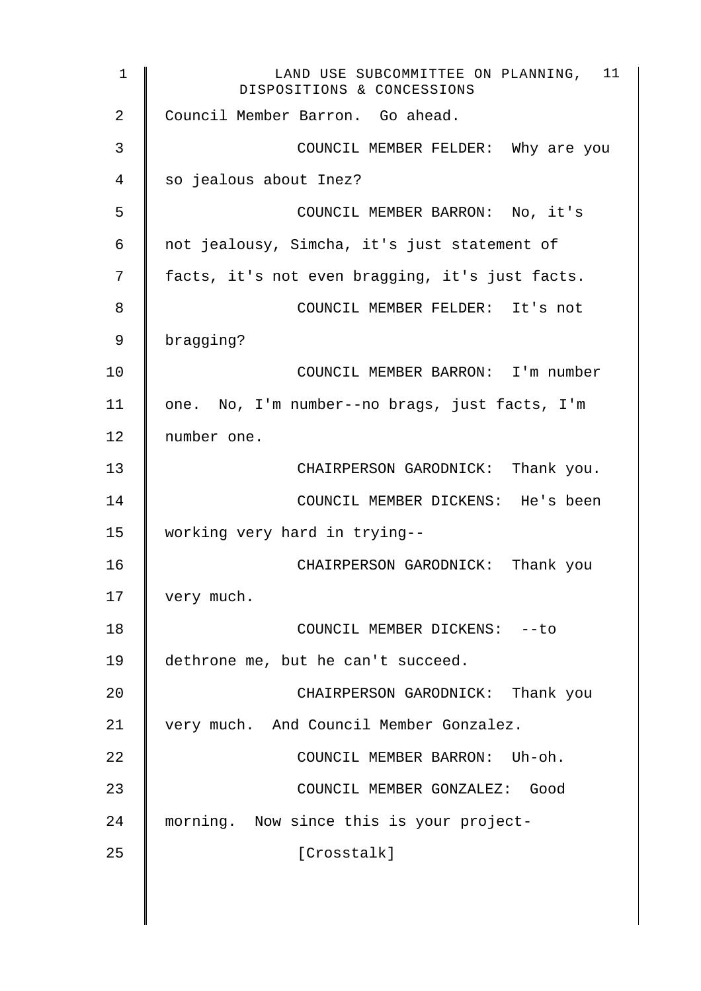1 LAND USE SUBCOMMITTEE ON PLANNING, 11 DISPOSITIONS & CONCESSIONS 2 Council Member Barron. Go ahead. 3 **S** 4 so jealous about Inez? 5 COUNCIL MEMBER BARRON: No, it's 6 not jealousy, Simcha, it's just statement of 7 | facts, it's not even bragging, it's just facts. 8 **6** COUNCIL MEMBER FELDER: It's not 9 bragging? 10 || COUNCIL MEMBER BARRON: I'm number 11 | one. No, I'm number--no brags, just facts, I'm 12 number one. 13 **I** CHAIRPERSON GARODNICK: Thank you. 14 | COUNCIL MEMBER DICKENS: He's been 15 working very hard in trying-- 16 CHAIRPERSON GARODNICK: Thank you 17 | very much. 18 **COUNCIL MEMBER DICKENS:** --to 19 dethrone me, but he can't succeed. 20 CHAIRPERSON GARODNICK: Thank you 21 very much. And Council Member Gonzalez. 22 **COUNCIL MEMBER BARRON:** Uh-oh. 23 COUNCIL MEMBER GONZALEZ: Good 24 morning. Now since this is your project-25 | Crosstalk]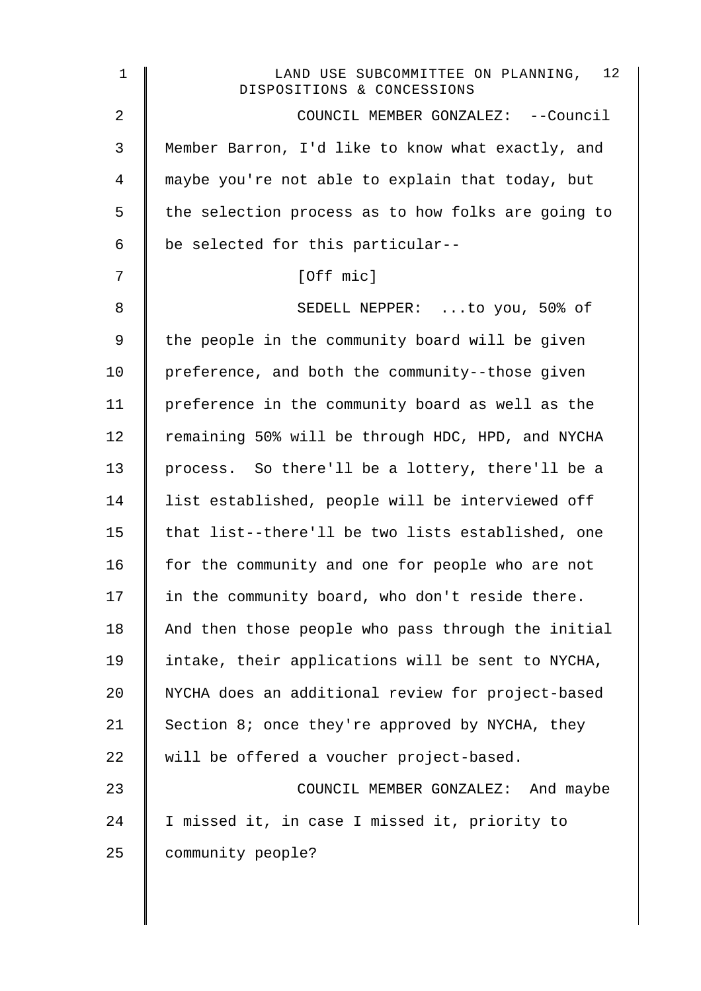| LAND USE SUBCOMMITTEE ON PLANNING, 12<br>DISPOSITIONS & CONCESSIONS |
|---------------------------------------------------------------------|
| COUNCIL MEMBER GONZALEZ: --Council                                  |
| Member Barron, I'd like to know what exactly, and                   |
| maybe you're not able to explain that today, but                    |
| the selection process as to how folks are going to                  |
| be selected for this particular--                                   |
| [Off mic]                                                           |
| SEDELL NEPPER: to you, 50% of                                       |
| the people in the community board will be given                     |
| preference, and both the community--those given                     |
| preference in the community board as well as the                    |
| remaining 50% will be through HDC, HPD, and NYCHA                   |
| process. So there'll be a lottery, there'll be a                    |
| list established, people will be interviewed off                    |
| that list--there'll be two lists established, one                   |
| for the community and one for people who are not                    |
| in the community board, who don't reside there.                     |
| And then those people who pass through the initial                  |
| intake, their applications will be sent to NYCHA,                   |
| NYCHA does an additional review for project-based                   |
| Section 8; once they're approved by NYCHA, they                     |
| will be offered a voucher project-based.                            |
| COUNCIL MEMBER GONZALEZ: And maybe                                  |
| I missed it, in case I missed it, priority to                       |
| community people?                                                   |
|                                                                     |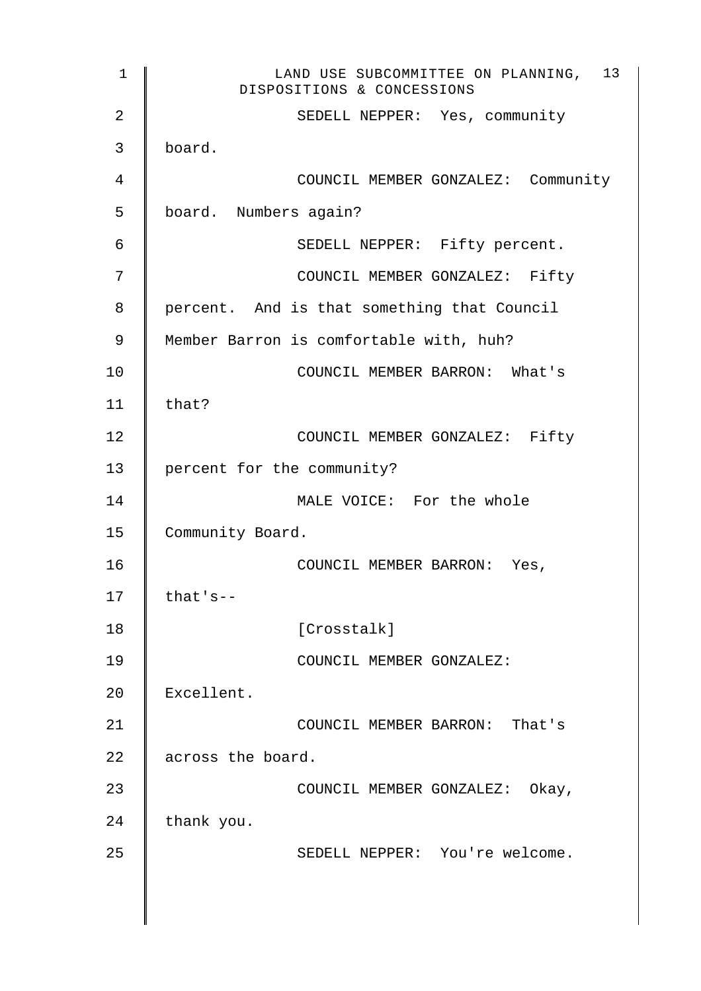| $\mathbf 1$ | 13<br>LAND USE SUBCOMMITTEE ON PLANNING,<br>DISPOSITIONS & CONCESSIONS |
|-------------|------------------------------------------------------------------------|
| 2           | SEDELL NEPPER: Yes, community                                          |
| 3           | board.                                                                 |
| 4           | COUNCIL MEMBER GONZALEZ: Community                                     |
| 5           | board. Numbers again?                                                  |
| 6           | SEDELL NEPPER: Fifty percent.                                          |
| 7           | COUNCIL MEMBER GONZALEZ: Fifty                                         |
| 8           | percent. And is that something that Council                            |
| 9           | Member Barron is comfortable with, huh?                                |
| 10          | COUNCIL MEMBER BARRON: What's                                          |
| 11          | that?                                                                  |
| 12          | COUNCIL MEMBER GONZALEZ: Fifty                                         |
| 13          | percent for the community?                                             |
| 14          | MALE VOICE: For the whole                                              |
| 15          | Community Board.                                                       |
| 16          | COUNCIL MEMBER BARRON: Yes,                                            |
| 17          | that's--                                                               |
| 18          | [Crosstalk]                                                            |
| 19          | COUNCIL MEMBER GONZALEZ:                                               |
| 20          | Excellent.                                                             |
| 21          | COUNCIL MEMBER BARRON: That's                                          |
| 22          | across the board.                                                      |
| 23          | COUNCIL MEMBER GONZALEZ: Okay,                                         |
| 24          | thank you.                                                             |
| 25          | SEDELL NEPPER: You're welcome.                                         |
|             |                                                                        |
|             |                                                                        |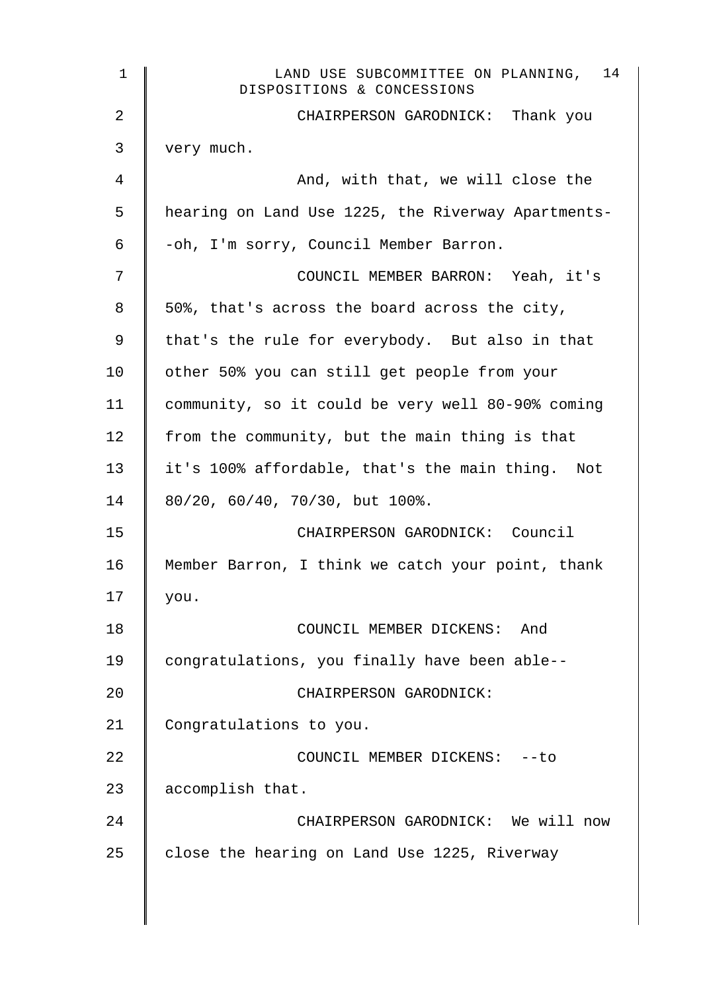| $\mathbf 1$    | LAND USE SUBCOMMITTEE ON PLANNING, 14<br>DISPOSITIONS & CONCESSIONS |
|----------------|---------------------------------------------------------------------|
| $\overline{a}$ | CHAIRPERSON GARODNICK: Thank you                                    |
| 3              | very much.                                                          |
| 4              | And, with that, we will close the                                   |
| 5              | hearing on Land Use 1225, the Riverway Apartments-                  |
| 6              | -oh, I'm sorry, Council Member Barron.                              |
| 7              | COUNCIL MEMBER BARRON: Yeah, it's                                   |
| 8              | 50%, that's across the board across the city,                       |
| 9              | that's the rule for everybody. But also in that                     |
| 10             | other 50% you can still get people from your                        |
| 11             | community, so it could be very well 80-90% coming                   |
| 12             | from the community, but the main thing is that                      |
| 13             | it's 100% affordable, that's the main thing. Not                    |
| 14             | 80/20, 60/40, 70/30, but 100%.                                      |
| 15             | CHAIRPERSON GARODNICK: Council                                      |
| 16             | Member Barron, I think we catch your point, thank                   |
| 17             | you.                                                                |
| 18             | COUNCIL MEMBER DICKENS: And                                         |
| 19             | congratulations, you finally have been able--                       |
| 20             | CHAIRPERSON GARODNICK:                                              |
| 21             | Congratulations to you.                                             |
| 22             | COUNCIL MEMBER DICKENS: -- to                                       |
| 23             | accomplish that.                                                    |
| 24             | CHAIRPERSON GARODNICK: We will now                                  |
| 25             | close the hearing on Land Use 1225, Riverway                        |
|                |                                                                     |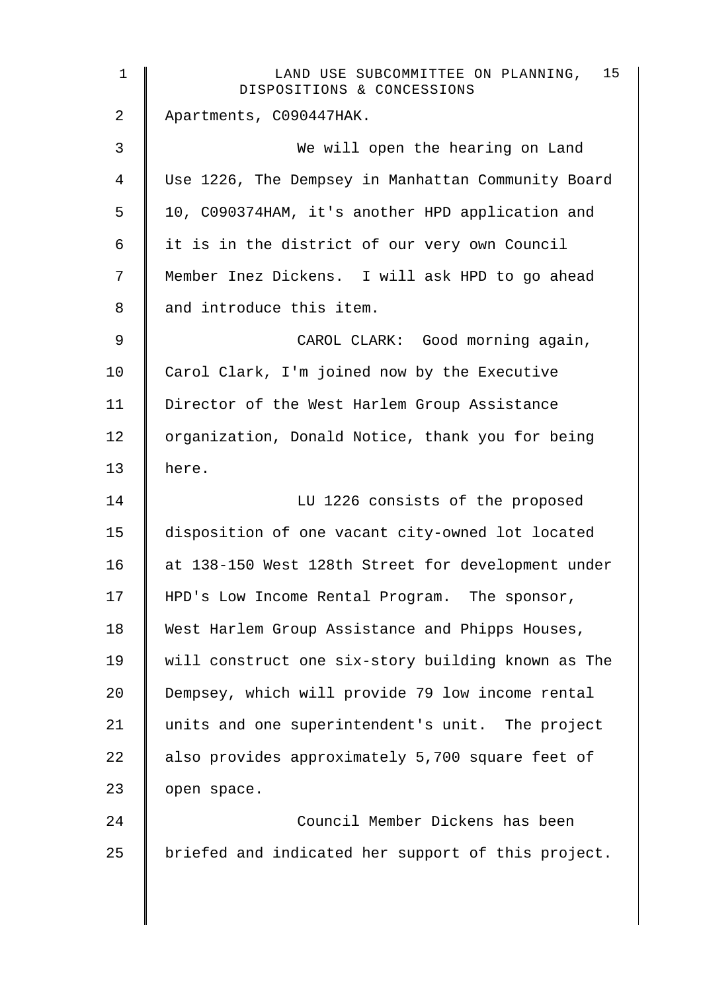| $\mathbf 1$    | 15<br>LAND USE SUBCOMMITTEE ON PLANNING,<br>DISPOSITIONS & CONCESSIONS |
|----------------|------------------------------------------------------------------------|
| $\overline{2}$ | Apartments, C090447HAK.                                                |
| 3              | We will open the hearing on Land                                       |
| 4              | Use 1226, The Dempsey in Manhattan Community Board                     |
| 5              | 10, C090374HAM, it's another HPD application and                       |
| 6              | it is in the district of our very own Council                          |
| 7              | Member Inez Dickens. I will ask HPD to go ahead                        |
| 8              | and introduce this item.                                               |
| 9              | CAROL CLARK: Good morning again,                                       |
| 10             | Carol Clark, I'm joined now by the Executive                           |
| 11             | Director of the West Harlem Group Assistance                           |
| 12             | organization, Donald Notice, thank you for being                       |
| 13             | here.                                                                  |
| 14             | LU 1226 consists of the proposed                                       |
| 15             | disposition of one vacant city-owned lot located                       |
| 16             | at 138-150 West 128th Street for development under                     |
| 17             | HPD's Low Income Rental Program. The sponsor,                          |
| 18             | West Harlem Group Assistance and Phipps Houses,                        |
| 19             | will construct one six-story building known as The                     |
| 20             | Dempsey, which will provide 79 low income rental                       |
| 21             | units and one superintendent's unit. The project                       |
| 22             | also provides approximately 5,700 square feet of                       |
| 23             | open space.                                                            |
| 24             | Council Member Dickens has been                                        |
| 25             | briefed and indicated her support of this project.                     |
|                |                                                                        |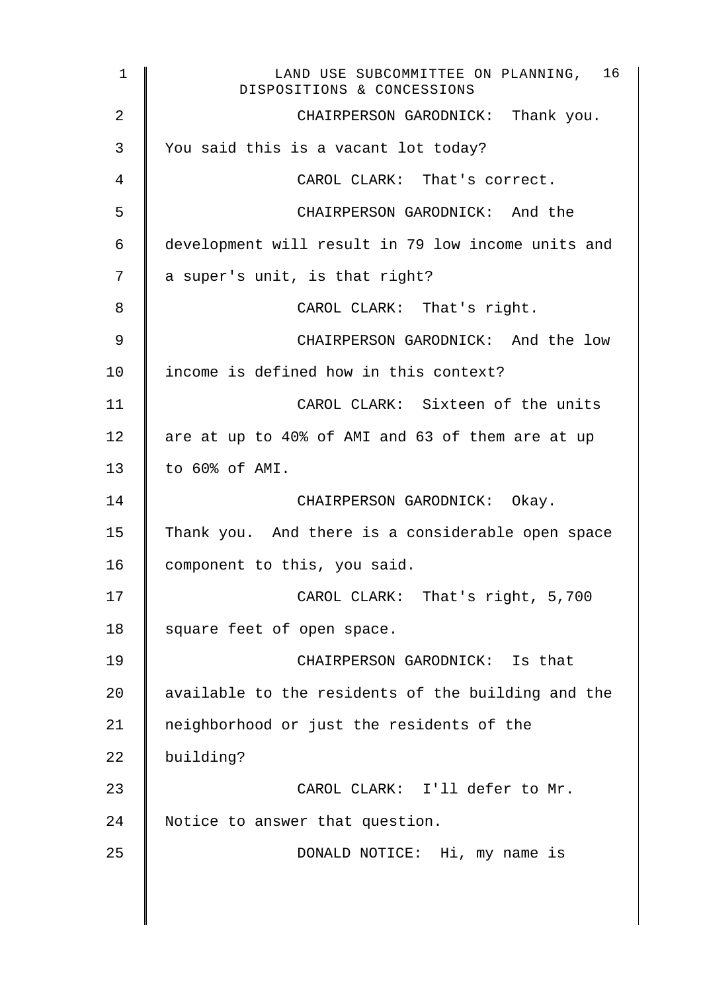1 LAND USE SUBCOMMITTEE ON PLANNING, 16 DISPOSITIONS & CONCESSIONS 2 **CHAIRPERSON GARODNICK:** Thank you. 3 Vou said this is a vacant lot today? 4 CAROL CLARK: That's correct. 5 CHAIRPERSON GARODNICK: And the 6 development will result in 79 low income units and  $7 \parallel a$  super's unit, is that right? 8 **CAROL CLARK:** That's right. 9 || CHAIRPERSON GARODNICK: And the low 10 | income is defined how in this context? 11 | CAROL CLARK: Sixteen of the units 12  $\parallel$  are at up to 40% of AMI and 63 of them are at up 13 to 60% of AMI. 14 | CHAIRPERSON GARODNICK: Okay. 15 Thank you. And there is a considerable open space 16 | component to this, you said. 17 | CAROL CLARK: That's right, 5,700 18 square feet of open space. 19 CHAIRPERSON GARODNICK: Is that 20  $\parallel$  available to the residents of the building and the 21 | neighborhood or just the residents of the 22 building? 23 CAROL CLARK: I'll defer to Mr. 24 Notice to answer that question. 25 | DONALD NOTICE: Hi, my name is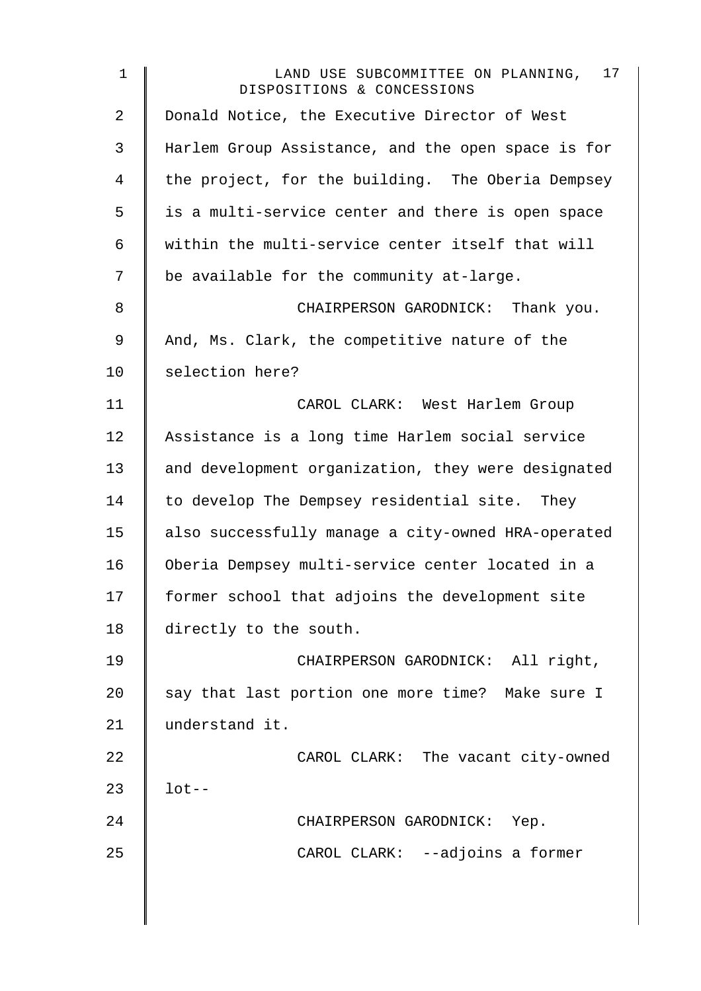| $\mathbf 1$    | 17<br>LAND USE SUBCOMMITTEE ON PLANNING,<br>DISPOSITIONS & CONCESSIONS |
|----------------|------------------------------------------------------------------------|
| $\overline{2}$ | Donald Notice, the Executive Director of West                          |
| 3              | Harlem Group Assistance, and the open space is for                     |
| 4              | the project, for the building. The Oberia Dempsey                      |
| 5              | is a multi-service center and there is open space                      |
| 6              | within the multi-service center itself that will                       |
| 7              | be available for the community at-large.                               |
| 8              | CHAIRPERSON GARODNICK: Thank you.                                      |
| 9              | And, Ms. Clark, the competitive nature of the                          |
| 10             | selection here?                                                        |
| 11             | CAROL CLARK: West Harlem Group                                         |
| 12             | Assistance is a long time Harlem social service                        |
| 13             | and development organization, they were designated                     |
| 14             | to develop The Dempsey residential site. They                          |
| 15             | also successfully manage a city-owned HRA-operated                     |
| 16             | Oberia Dempsey multi-service center located in a                       |
| 17             | former school that adjoins the development site                        |
| 18             | directly to the south.                                                 |
| 19             | CHAIRPERSON GARODNICK: All right,                                      |
| 20             | say that last portion one more time? Make sure I                       |
| 21             | understand it.                                                         |
| 22             | CAROL CLARK: The vacant city-owned                                     |
| 23             | $lot--$                                                                |
| 24             | CHAIRPERSON GARODNICK: Yep.                                            |
| 25             | CAROL CLARK: --adjoins a former                                        |
|                |                                                                        |
|                |                                                                        |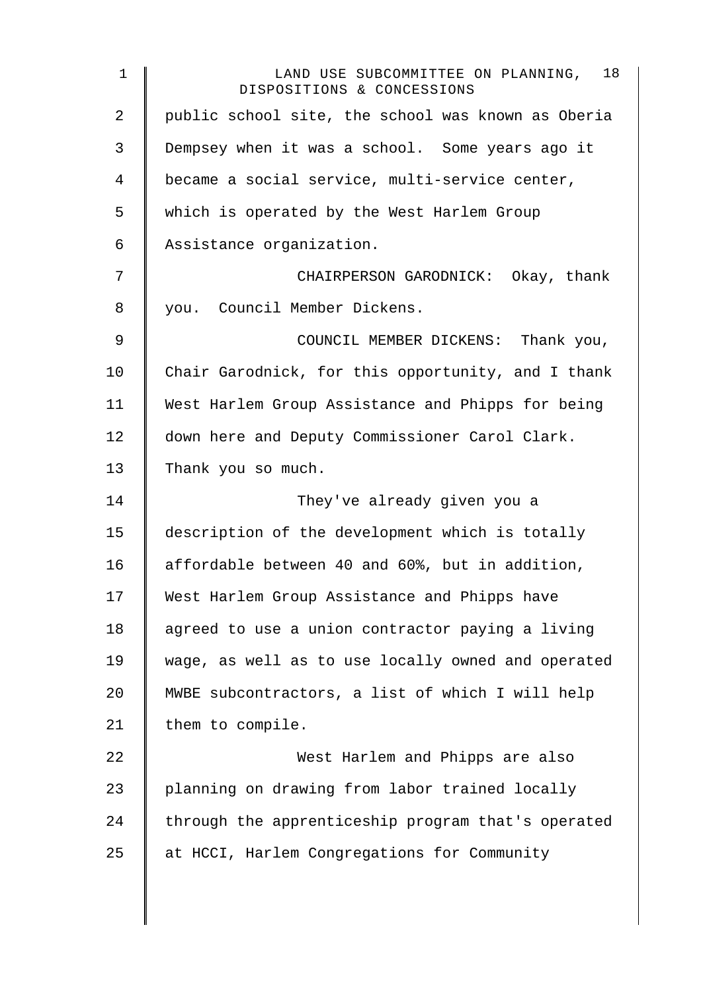| $\mathbf 1$    | 18<br>LAND USE SUBCOMMITTEE ON PLANNING,<br>DISPOSITIONS & CONCESSIONS |
|----------------|------------------------------------------------------------------------|
| $\overline{2}$ | public school site, the school was known as Oberia                     |
| 3              | Dempsey when it was a school. Some years ago it                        |
| 4              | became a social service, multi-service center,                         |
| 5              | which is operated by the West Harlem Group                             |
| 6              | Assistance organization.                                               |
| 7              | CHAIRPERSON GARODNICK: Okay, thank                                     |
| 8              | you. Council Member Dickens.                                           |
| 9              | COUNCIL MEMBER DICKENS: Thank you,                                     |
| 10             | Chair Garodnick, for this opportunity, and I thank                     |
| 11             | West Harlem Group Assistance and Phipps for being                      |
| 12             | down here and Deputy Commissioner Carol Clark.                         |
| 13             | Thank you so much.                                                     |
| 14             | They've already given you a                                            |
| 15             | description of the development which is totally                        |
| 16             | affordable between 40 and 60%, but in addition,                        |
| 17             | West Harlem Group Assistance and Phipps have                           |
| 18             | agreed to use a union contractor paying a living                       |
| 19             | wage, as well as to use locally owned and operated                     |
| 20             | MWBE subcontractors, a list of which I will help                       |
| 21             | them to compile.                                                       |
| 22             | West Harlem and Phipps are also                                        |
| 23             | planning on drawing from labor trained locally                         |
| 24             | through the apprenticeship program that's operated                     |
| 25             | at HCCI, Harlem Congregations for Community                            |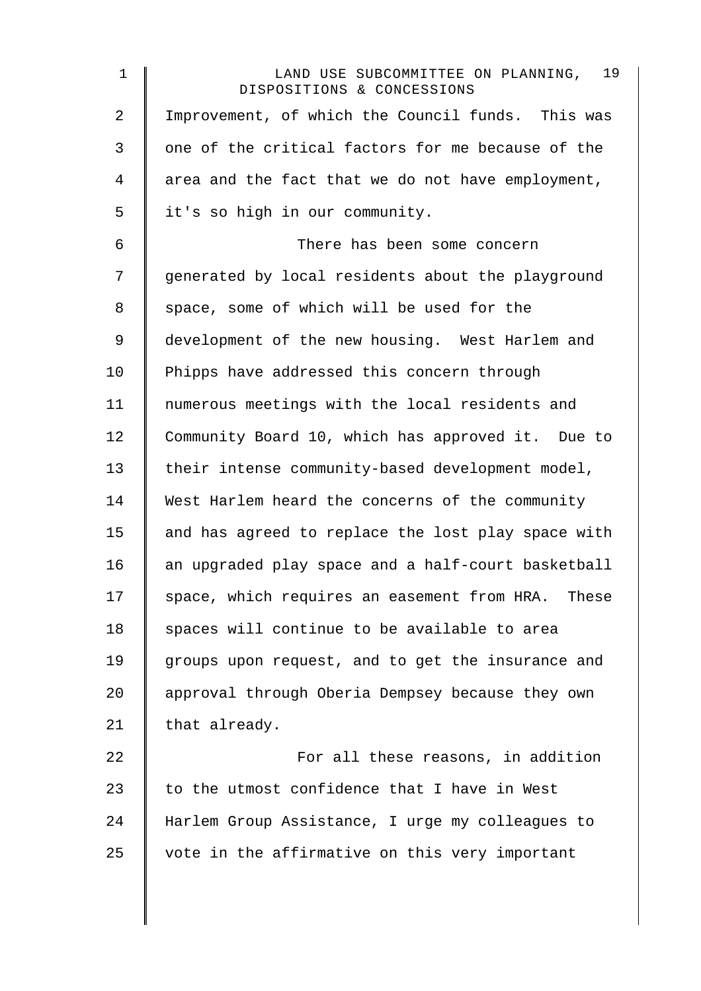| $\mathbf 1$    | LAND USE SUBCOMMITTEE ON PLANNING, 19<br>DISPOSITIONS & CONCESSIONS |
|----------------|---------------------------------------------------------------------|
| $\overline{2}$ | Improvement, of which the Council funds. This was                   |
| 3              | one of the critical factors for me because of the                   |
| 4              | area and the fact that we do not have employment,                   |
| 5              | it's so high in our community.                                      |
| 6              | There has been some concern                                         |
| 7              | generated by local residents about the playground                   |
| 8              | space, some of which will be used for the                           |
| 9              | development of the new housing. West Harlem and                     |
| 10             | Phipps have addressed this concern through                          |
| 11             | numerous meetings with the local residents and                      |
| 12             | Community Board 10, which has approved it. Due to                   |
| 13             | their intense community-based development model,                    |
| 14             | West Harlem heard the concerns of the community                     |
| 15             | and has agreed to replace the lost play space with                  |
| 16             | an upgraded play space and a half-court basketball                  |
| 17             | space, which requires an easement from HRA. These                   |
| 18             | spaces will continue to be available to area                        |
| 19             | groups upon request, and to get the insurance and                   |
| 20             | approval through Oberia Dempsey because they own                    |
| 21             | that already.                                                       |
| 22             | For all these reasons, in addition                                  |
| 23             | to the utmost confidence that I have in West                        |
| 24             | Harlem Group Assistance, I urge my colleagues to                    |
| 25             | vote in the affirmative on this very important                      |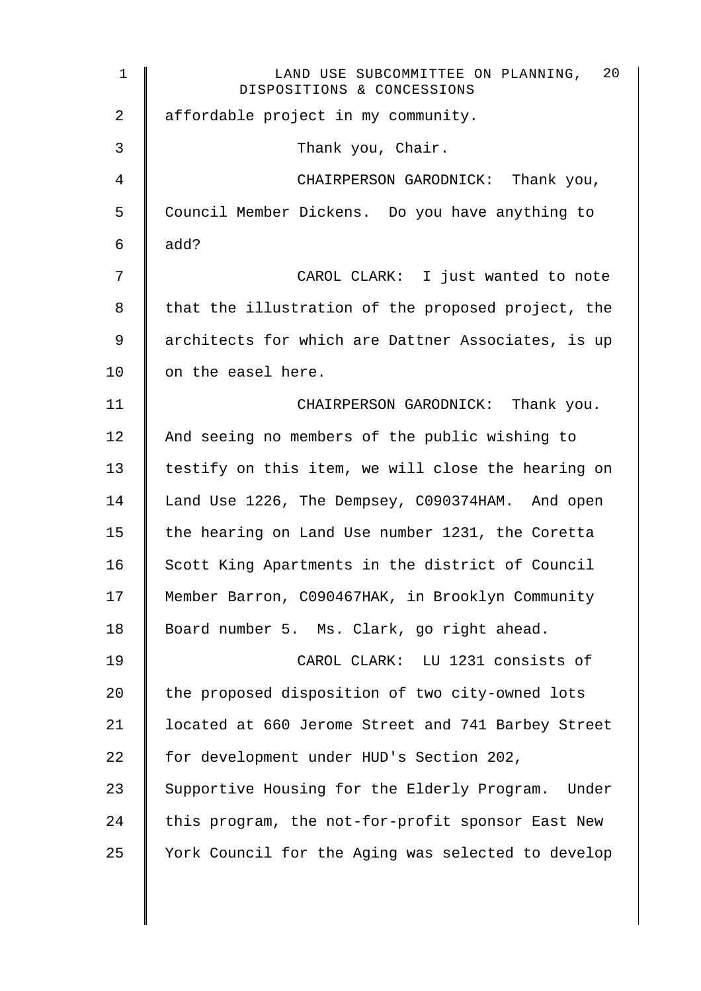| $\mathbf 1$ | 20<br>LAND USE SUBCOMMITTEE ON PLANNING,<br>DISPOSITIONS & CONCESSIONS |
|-------------|------------------------------------------------------------------------|
| 2           | affordable project in my community.                                    |
| 3           | Thank you, Chair.                                                      |
| 4           | CHAIRPERSON GARODNICK: Thank you,                                      |
| 5           | Council Member Dickens. Do you have anything to                        |
| 6           | add?                                                                   |
| 7           | CAROL CLARK: I just wanted to note                                     |
| 8           | that the illustration of the proposed project, the                     |
| 9           | architects for which are Dattner Associates, is up                     |
| 10          | on the easel here.                                                     |
| 11          | CHAIRPERSON GARODNICK: Thank you.                                      |
| 12          | And seeing no members of the public wishing to                         |
| 13          | testify on this item, we will close the hearing on                     |
| 14          | Land Use 1226, The Dempsey, C090374HAM. And open                       |
| 15          | the hearing on Land Use number 1231, the Coretta                       |
| 16          | Scott King Apartments in the district of Council                       |
| 17          | Member Barron, C090467HAK, in Brooklyn Community                       |
| 18          | Board number 5. Ms. Clark, go right ahead.                             |
| 19          | CAROL CLARK: LU 1231 consists of                                       |
| 20          | the proposed disposition of two city-owned lots                        |
| 21          | located at 660 Jerome Street and 741 Barbey Street                     |
| 22          | for development under HUD's Section 202,                               |
| 23          | Supportive Housing for the Elderly Program. Under                      |
| 24          | this program, the not-for-profit sponsor East New                      |
| 25          | York Council for the Aging was selected to develop                     |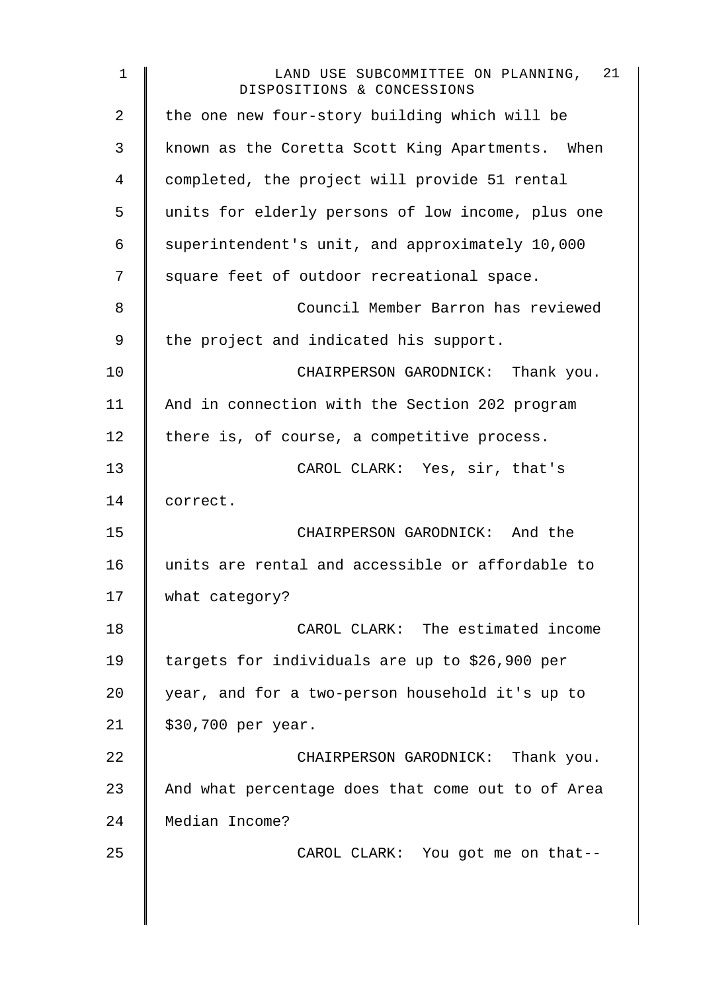| $\mathbf 1$ | LAND USE SUBCOMMITTEE ON PLANNING, 21<br>DISPOSITIONS & CONCESSIONS |
|-------------|---------------------------------------------------------------------|
| 2           | the one new four-story building which will be                       |
| 3           | known as the Coretta Scott King Apartments. When                    |
| 4           | completed, the project will provide 51 rental                       |
| 5           | units for elderly persons of low income, plus one                   |
| 6           | superintendent's unit, and approximately 10,000                     |
| 7           | square feet of outdoor recreational space.                          |
| 8           | Council Member Barron has reviewed                                  |
| 9           | the project and indicated his support.                              |
| 10          | CHAIRPERSON GARODNICK: Thank you.                                   |
| 11          | And in connection with the Section 202 program                      |
| 12          | there is, of course, a competitive process.                         |
| 13          | CAROL CLARK: Yes, sir, that's                                       |
| 14          | correct.                                                            |
| 15          | CHAIRPERSON GARODNICK: And the                                      |
| 16          | units are rental and accessible or affordable to                    |
| 17          | what category?                                                      |
| 18          | CAROL CLARK: The estimated income                                   |
| 19          | targets for individuals are up to \$26,900 per                      |
| 20          | year, and for a two-person household it's up to                     |
| 21          | \$30,700 per year.                                                  |
| 22          | CHAIRPERSON GARODNICK: Thank you.                                   |
| 23          | And what percentage does that come out to of Area                   |
| 24          | Median Income?                                                      |
| 25          | CAROL CLARK: You got me on that--                                   |
|             |                                                                     |
|             |                                                                     |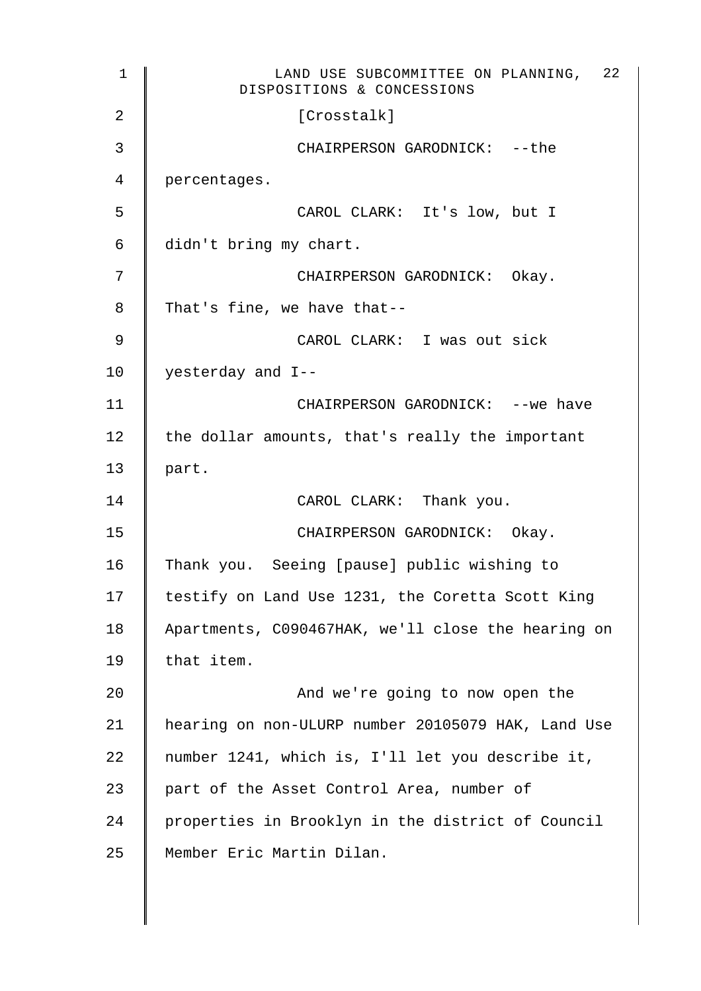| 1  | 22<br>LAND USE SUBCOMMITTEE ON PLANNING,<br>DISPOSITIONS & CONCESSIONS |
|----|------------------------------------------------------------------------|
| 2  | [Crosstalk]                                                            |
| 3  | CHAIRPERSON GARODNICK: -- the                                          |
| 4  | percentages.                                                           |
| 5  | CAROL CLARK: It's low, but I                                           |
| 6  | didn't bring my chart.                                                 |
| 7  | CHAIRPERSON GARODNICK: Okay.                                           |
| 8  | That's fine, we have that--                                            |
| 9  | CAROL CLARK: I was out sick                                            |
| 10 | yesterday and I--                                                      |
| 11 | CHAIRPERSON GARODNICK: -- we have                                      |
| 12 | the dollar amounts, that's really the important                        |
| 13 | part.                                                                  |
| 14 | CAROL CLARK: Thank you.                                                |
| 15 | CHAIRPERSON GARODNICK: Okay.                                           |
| 16 | Thank you. Seeing [pause] public wishing to                            |
| 17 | testify on Land Use 1231, the Coretta Scott King                       |
| 18 | Apartments, C090467HAK, we'll close the hearing on                     |
| 19 | that item.                                                             |
| 20 | And we're going to now open the                                        |
| 21 | hearing on non-ULURP number 20105079 HAK, Land Use                     |
| 22 | number 1241, which is, I'll let you describe it,                       |
| 23 | part of the Asset Control Area, number of                              |
| 24 | properties in Brooklyn in the district of Council                      |
| 25 | Member Eric Martin Dilan.                                              |
|    |                                                                        |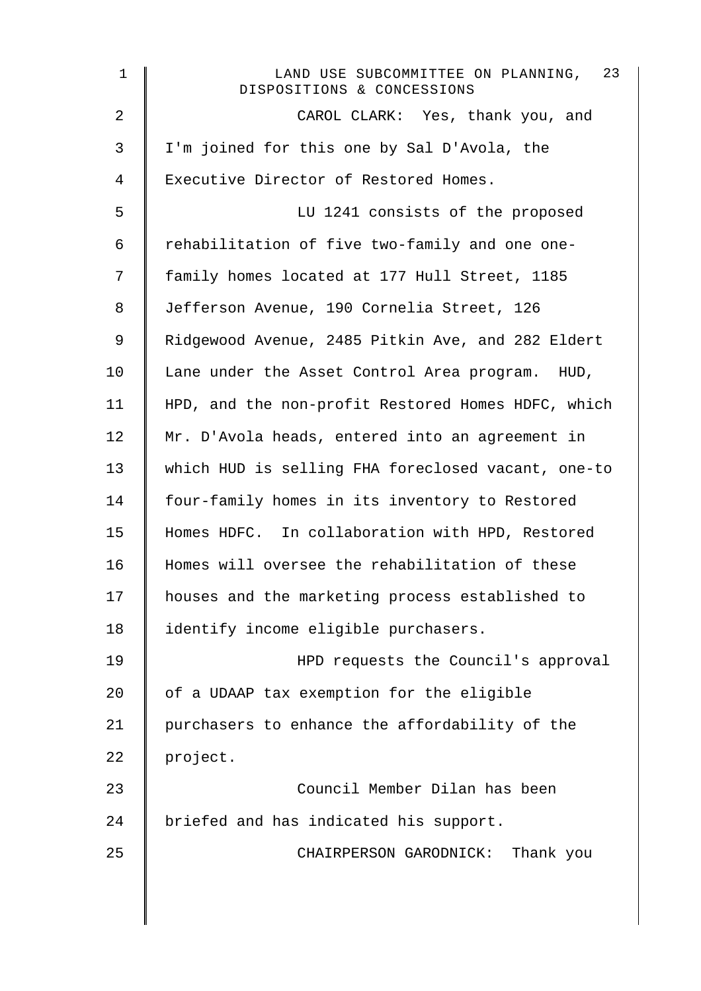| $\mathbf 1$    | LAND USE SUBCOMMITTEE ON PLANNING, 23<br>DISPOSITIONS & CONCESSIONS |
|----------------|---------------------------------------------------------------------|
| $\overline{2}$ | CAROL CLARK: Yes, thank you, and                                    |
| 3              | I'm joined for this one by Sal D'Avola, the                         |
| 4              | Executive Director of Restored Homes.                               |
| 5              | LU 1241 consists of the proposed                                    |
| 6              | rehabilitation of five two-family and one one-                      |
| 7              | family homes located at 177 Hull Street, 1185                       |
| 8              | Jefferson Avenue, 190 Cornelia Street, 126                          |
| 9              | Ridgewood Avenue, 2485 Pitkin Ave, and 282 Eldert                   |
| 10             | Lane under the Asset Control Area program. HUD,                     |
| 11             | HPD, and the non-profit Restored Homes HDFC, which                  |
| 12             | Mr. D'Avola heads, entered into an agreement in                     |
| 13             | which HUD is selling FHA foreclosed vacant, one-to                  |
| 14             | four-family homes in its inventory to Restored                      |
| 15             | Homes HDFC. In collaboration with HPD, Restored                     |
| 16             | Homes will oversee the rehabilitation of these                      |
| 17             | houses and the marketing process established to                     |
| 18             | identify income eligible purchasers.                                |
| 19             | HPD requests the Council's approval                                 |
| 20             | of a UDAAP tax exemption for the eligible                           |
| 21             | purchasers to enhance the affordability of the                      |
| 22             | project.                                                            |
| 23             | Council Member Dilan has been                                       |
| 24             | briefed and has indicated his support.                              |
| 25             | CHAIRPERSON GARODNICK: Thank you                                    |
|                |                                                                     |
|                |                                                                     |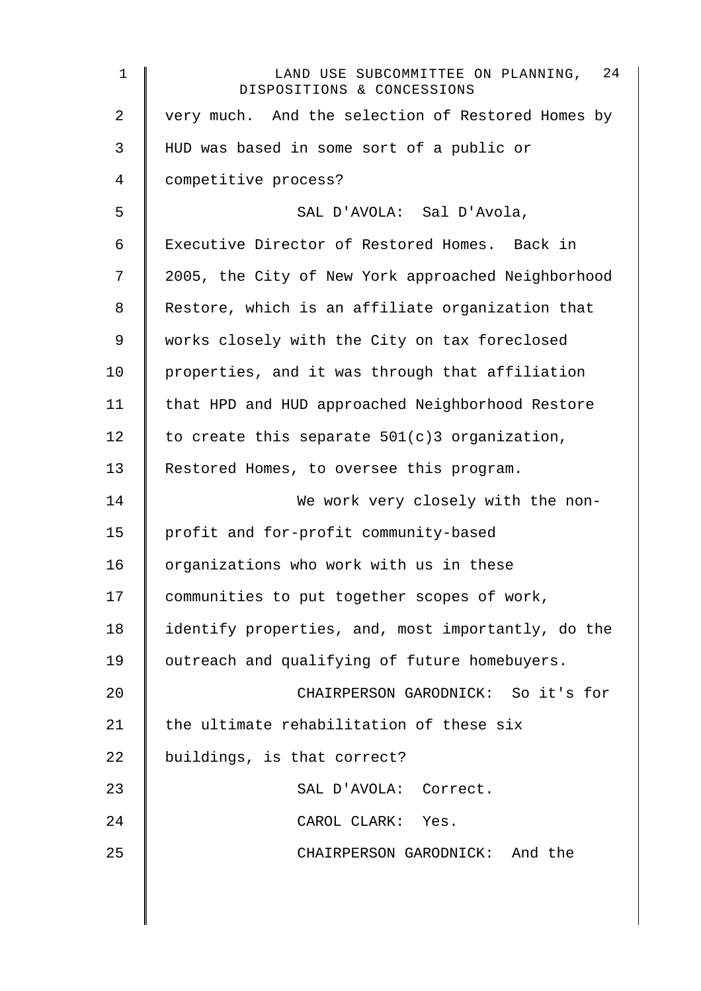| $1\,$          | LAND USE SUBCOMMITTEE ON PLANNING, 24<br>DISPOSITIONS & CONCESSIONS |
|----------------|---------------------------------------------------------------------|
| $\overline{2}$ | very much. And the selection of Restored Homes by                   |
| 3              | HUD was based in some sort of a public or                           |
| 4              | competitive process?                                                |
| 5              | SAL D'AVOLA: Sal D'Avola,                                           |
| 6              | Executive Director of Restored Homes. Back in                       |
| 7              | 2005, the City of New York approached Neighborhood                  |
| 8              | Restore, which is an affiliate organization that                    |
| 9              | works closely with the City on tax foreclosed                       |
| 10             | properties, and it was through that affiliation                     |
| 11             | that HPD and HUD approached Neighborhood Restore                    |
| 12             | to create this separate $501(c)3$ organization,                     |
| 13             | Restored Homes, to oversee this program.                            |
| 14             | We work very closely with the non-                                  |
| 15             | profit and for-profit community-based                               |
| 16             | organizations who work with us in these                             |
| 17             | communities to put together scopes of work,                         |
| 18             | identify properties, and, most importantly, do the                  |
| 19             | outreach and qualifying of future homebuyers.                       |
| 20             | CHAIRPERSON GARODNICK: So it's for                                  |
| 21             | the ultimate rehabilitation of these six                            |
| 22             | buildings, is that correct?                                         |
| 23             | SAL D'AVOLA: Correct.                                               |
| 24             | CAROL CLARK: Yes.                                                   |
| 25             | CHAIRPERSON GARODNICK: And the                                      |
|                |                                                                     |
|                |                                                                     |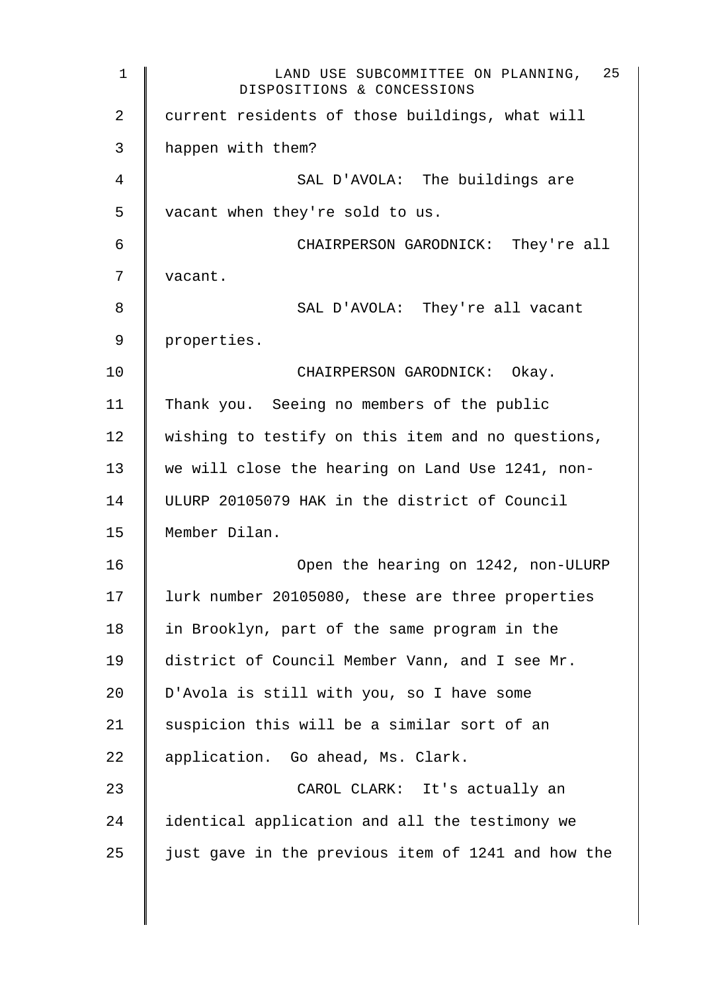1 CAND USE SUBCOMMITTEE ON PLANNING, DISPOSITIONS & CONCESSIONS 25 2 current residents of those buildings, what will 3 happen with them? 4 SAL D'AVOLA: The buildings are 5 | vacant when they're sold to us. 6 CHAIRPERSON GARODNICK: They're all 7 | vacant. 8 SAL D'AVOLA: They're all vacant 9 properties. 10 **CHAIRPERSON GARODNICK:** Okay. 11 Thank you. Seeing no members of the public  $12$  wishing to testify on this item and no questions, 13 we will close the hearing on Land Use 1241, non-14 ULURP 20105079 HAK in the district of Council 15 Member Dilan. 16 Open the hearing on 1242, non-ULURP 17 | lurk number 20105080, these are three properties 18 in Brooklyn, part of the same program in the 19 | district of Council Member Vann, and I see Mr. 20  $\parallel$  D'Avola is still with you, so I have some 21  $\parallel$  suspicion this will be a similar sort of an 22 | application. Go ahead, Ms. Clark. 23 CAROL CLARK: It's actually an 24 | identical application and all the testimony we 25  $\parallel$  just gave in the previous item of 1241 and how the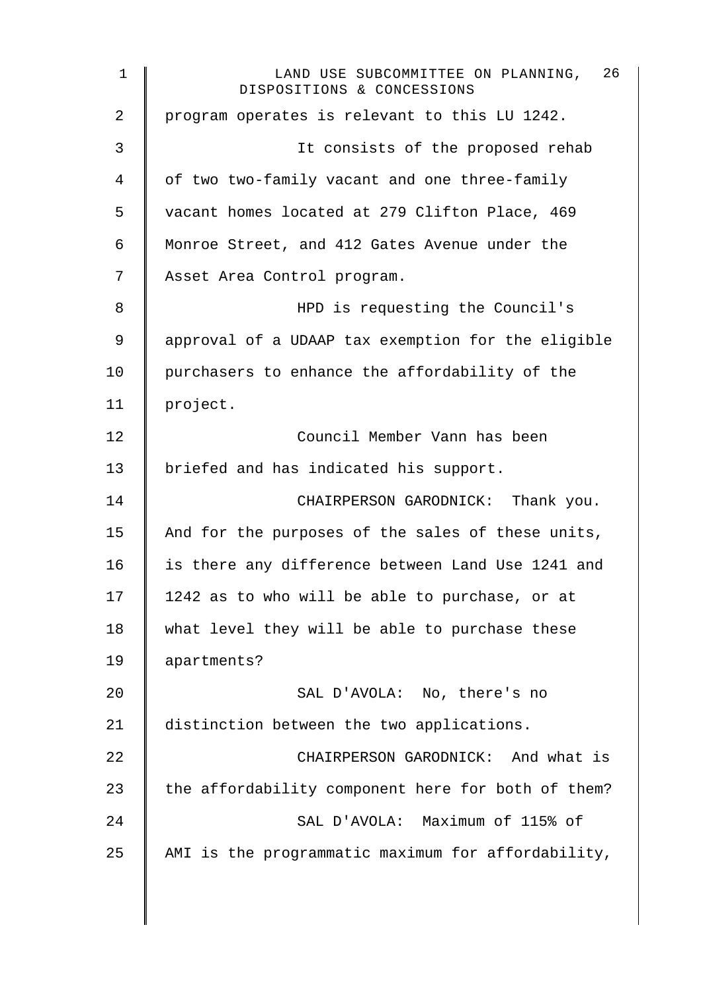1 CAND USE SUBCOMMITTEE ON PLANNING, DISPOSITIONS & CONCESSIONS 26 2 | program operates is relevant to this LU 1242. 3 || It consists of the proposed rehab 4 | of two two-family vacant and one three-family 5 vacant homes located at 279 Clifton Place, 469 6 Monroe Street, and 412 Gates Avenue under the 7 | Asset Area Control program. 8 HPD is requesting the Council's 9 approval of a UDAAP tax exemption for the eligible 10 | purchasers to enhance the affordability of the 11 project. 12 Council Member Vann has been 13 | briefed and has indicated his support. 14 CHAIRPERSON GARODNICK: Thank you. 15  $\parallel$  And for the purposes of the sales of these units, 16 is there any difference between Land Use 1241 and 17  $\parallel$  1242 as to who will be able to purchase, or at 18 what level they will be able to purchase these 19 apartments? 20 SAL D'AVOLA: No, there's no 21 distinction between the two applications. 22 **CHAIRPERSON GARODNICK:** And what is 23  $\parallel$  the affordability component here for both of them? 24 SAL D'AVOLA: Maximum of 115% of 25  $\parallel$  AMI is the programmatic maximum for affordability,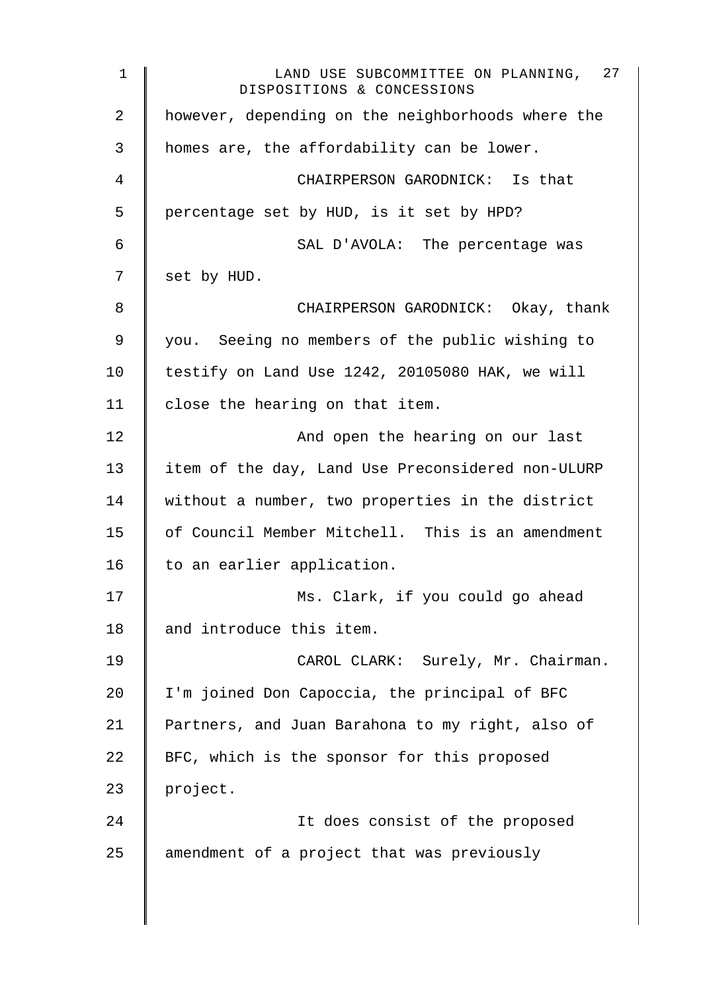1 CAND USE SUBCOMMITTEE ON PLANNING, DISPOSITIONS & CONCESSIONS 27 2 | however, depending on the neighborhoods where the 3 | homes are, the affordability can be lower. 4 CHAIRPERSON GARODNICK: Is that 5 | percentage set by HUD, is it set by HPD? 6 SAL D'AVOLA: The percentage was  $7 \parallel$  set by HUD. 8 CHAIRPERSON GARODNICK: Okay, thank 9 you. Seeing no members of the public wishing to 10 testify on Land Use 1242, 20105080 HAK, we will 11 | close the hearing on that item. 12 | And open the hearing on our last 13 item of the day, Land Use Preconsidered non-ULURP 14 without a number, two properties in the district 15 | of Council Member Mitchell. This is an amendment 16 | to an earlier application. 17 | Ms. Clark, if you could go ahead 18 and introduce this item. 19 | CAROL CLARK: Surely, Mr. Chairman. 20 I'm joined Don Capoccia, the principal of BFC 21 | Partners, and Juan Barahona to my right, also of 22  $\parallel$  BFC, which is the sponsor for this proposed 23 | project. 24 | It does consist of the proposed  $25$  amendment of a project that was previously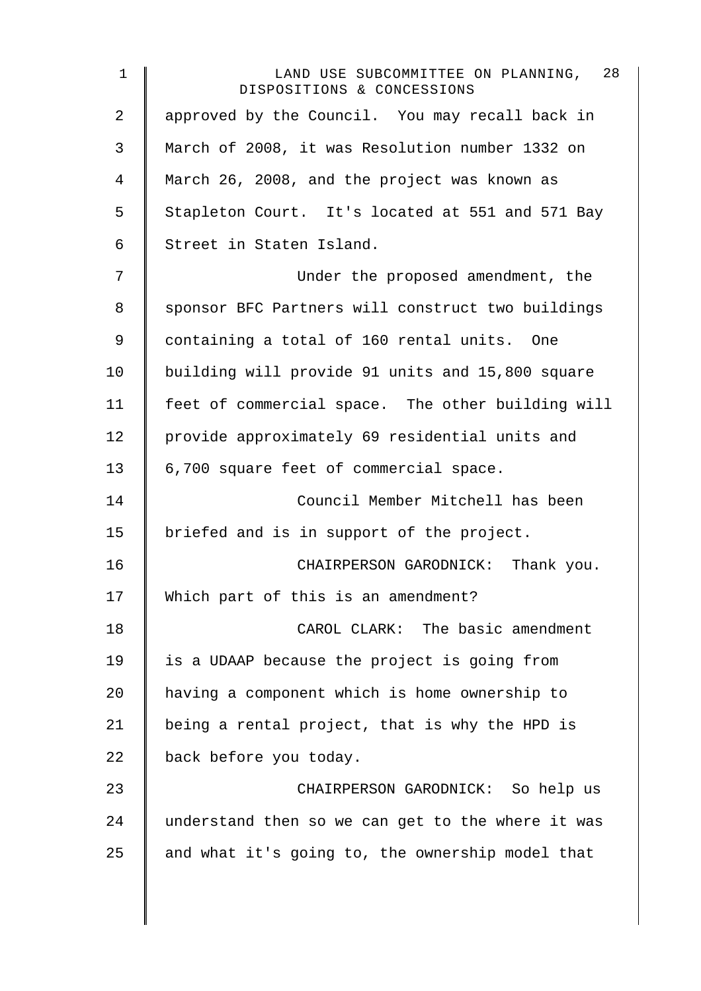| $\mathbf 1$    | 28<br>LAND USE SUBCOMMITTEE ON PLANNING,<br>DISPOSITIONS & CONCESSIONS |
|----------------|------------------------------------------------------------------------|
| $\overline{2}$ | approved by the Council. You may recall back in                        |
| 3              | March of 2008, it was Resolution number 1332 on                        |
| 4              | March 26, 2008, and the project was known as                           |
| 5              | Stapleton Court. It's located at 551 and 571 Bay                       |
| 6              | Street in Staten Island.                                               |
| 7              | Under the proposed amendment, the                                      |
| 8              | sponsor BFC Partners will construct two buildings                      |
| 9              | containing a total of 160 rental units. One                            |
| 10             | building will provide 91 units and 15,800 square                       |
| 11             | feet of commercial space. The other building will                      |
| 12             | provide approximately 69 residential units and                         |
| 13             | 6,700 square feet of commercial space.                                 |
| 14             | Council Member Mitchell has been                                       |
| 15             | briefed and is in support of the project.                              |
| 16             | CHAIRPERSON GARODNICK: Thank you.                                      |
| 17             | Which part of this is an amendment?                                    |
| 18             | CAROL CLARK: The basic amendment                                       |
| 19             | is a UDAAP because the project is going from                           |
| 20             | having a component which is home ownership to                          |
| 21             | being a rental project, that is why the HPD is                         |
| 22             | back before you today.                                                 |
| 23             | CHAIRPERSON GARODNICK: So help us                                      |
| 24             | understand then so we can get to the where it was                      |
| 25             | and what it's going to, the ownership model that                       |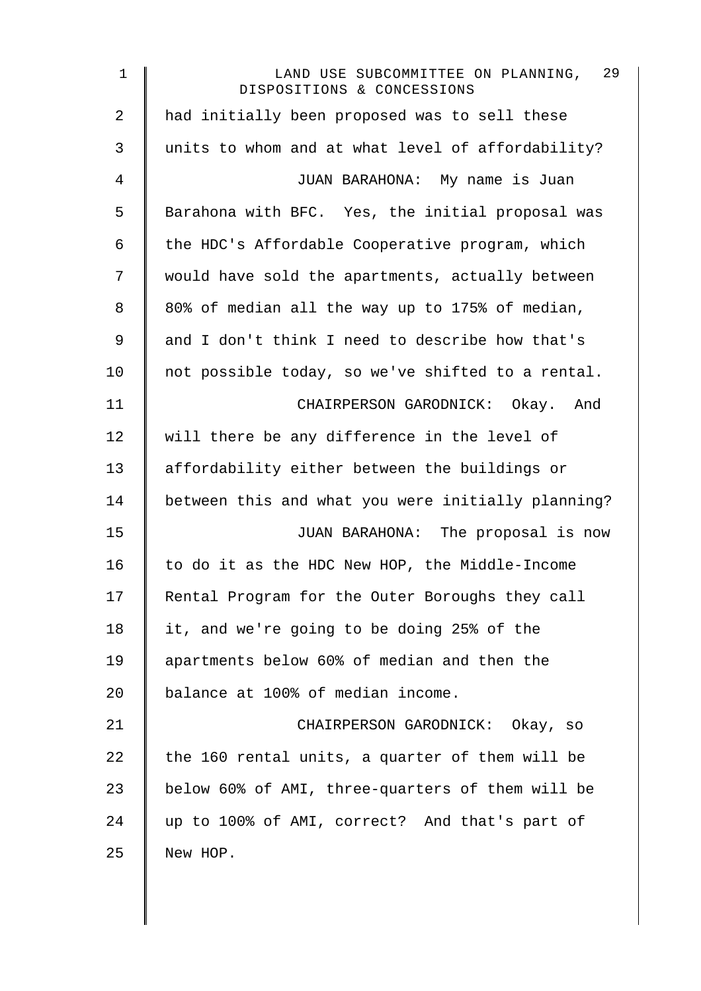| $\mathbf 1$ | 29<br>LAND USE SUBCOMMITTEE ON PLANNING,<br>DISPOSITIONS & CONCESSIONS |
|-------------|------------------------------------------------------------------------|
| 2           | had initially been proposed was to sell these                          |
| 3           | units to whom and at what level of affordability?                      |
| 4           | JUAN BARAHONA: My name is Juan                                         |
| 5           | Barahona with BFC. Yes, the initial proposal was                       |
| 6           | the HDC's Affordable Cooperative program, which                        |
| 7           | would have sold the apartments, actually between                       |
| 8           | 80% of median all the way up to 175% of median,                        |
| 9           | and I don't think I need to describe how that's                        |
| 10          | not possible today, so we've shifted to a rental.                      |
| 11          | CHAIRPERSON GARODNICK: Okay. And                                       |
| 12          | will there be any difference in the level of                           |
| 13          | affordability either between the buildings or                          |
| 14          | between this and what you were initially planning?                     |
| 15          | JUAN BARAHONA: The proposal is now                                     |
| 16          | to do it as the HDC New HOP, the Middle-Income                         |
| 17          | Rental Program for the Outer Boroughs they call                        |
| 18          | it, and we're going to be doing 25% of the                             |
| 19          | apartments below 60% of median and then the                            |
| 20          | balance at 100% of median income.                                      |
| 21          | CHAIRPERSON GARODNICK: Okay, so                                        |
| 22          | the 160 rental units, a quarter of them will be                        |
| 23          | below 60% of AMI, three-quarters of them will be                       |
| 24          | up to 100% of AMI, correct? And that's part of                         |
| 25          | New HOP.                                                               |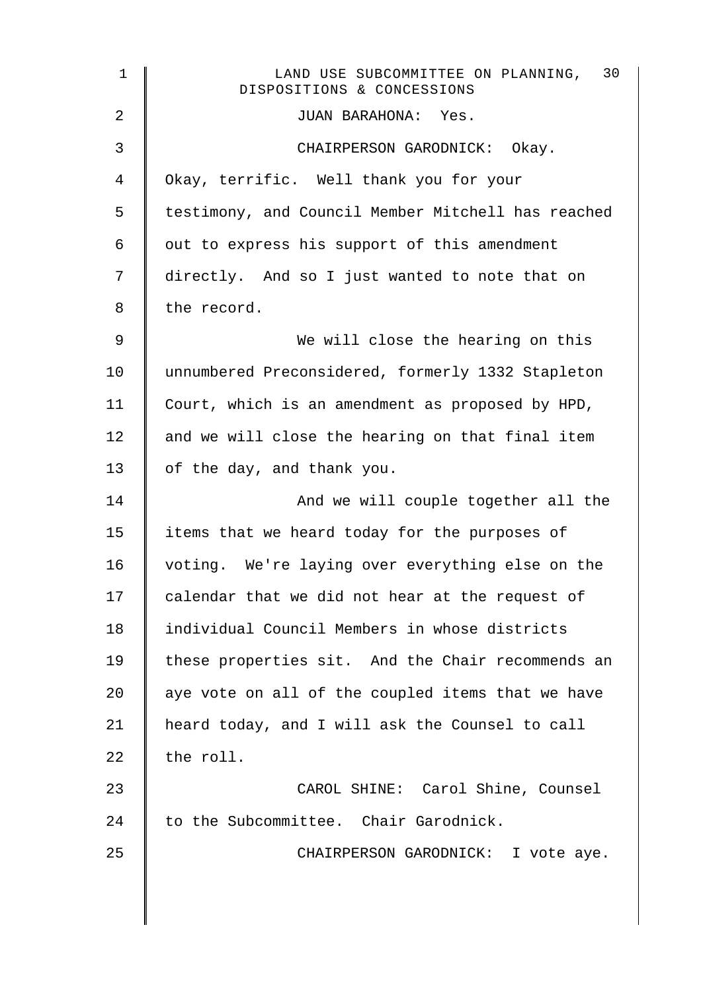| $\mathbf{1}$ | 30<br>LAND USE SUBCOMMITTEE ON PLANNING,<br>DISPOSITIONS & CONCESSIONS |
|--------------|------------------------------------------------------------------------|
| 2            | JUAN BARAHONA: Yes.                                                    |
| 3            | CHAIRPERSON GARODNICK: Okay.                                           |
| 4            | Okay, terrific. Well thank you for your                                |
| 5            | testimony, and Council Member Mitchell has reached                     |
| 6            | out to express his support of this amendment                           |
| 7            | directly. And so I just wanted to note that on                         |
| 8            | the record.                                                            |
| 9            | We will close the hearing on this                                      |
| 10           | unnumbered Preconsidered, formerly 1332 Stapleton                      |
| 11           | Court, which is an amendment as proposed by HPD,                       |
| 12           | and we will close the hearing on that final item                       |
| 13           | of the day, and thank you.                                             |
| 14           | And we will couple together all the                                    |
| 15           | items that we heard today for the purposes of                          |
| 16           | voting. We're laying over everything else on the                       |
| 17           | calendar that we did not hear at the request of                        |
| 18           | individual Council Members in whose districts                          |
| 19           | these properties sit. And the Chair recommends an                      |
| 20           | aye vote on all of the coupled items that we have                      |
| 21           | heard today, and I will ask the Counsel to call                        |
| 22           | the roll.                                                              |
| 23           | CAROL SHINE: Carol Shine, Counsel                                      |
| 24           | to the Subcommittee. Chair Garodnick.                                  |
| 25           | CHAIRPERSON GARODNICK: I vote aye.                                     |
|              |                                                                        |
|              |                                                                        |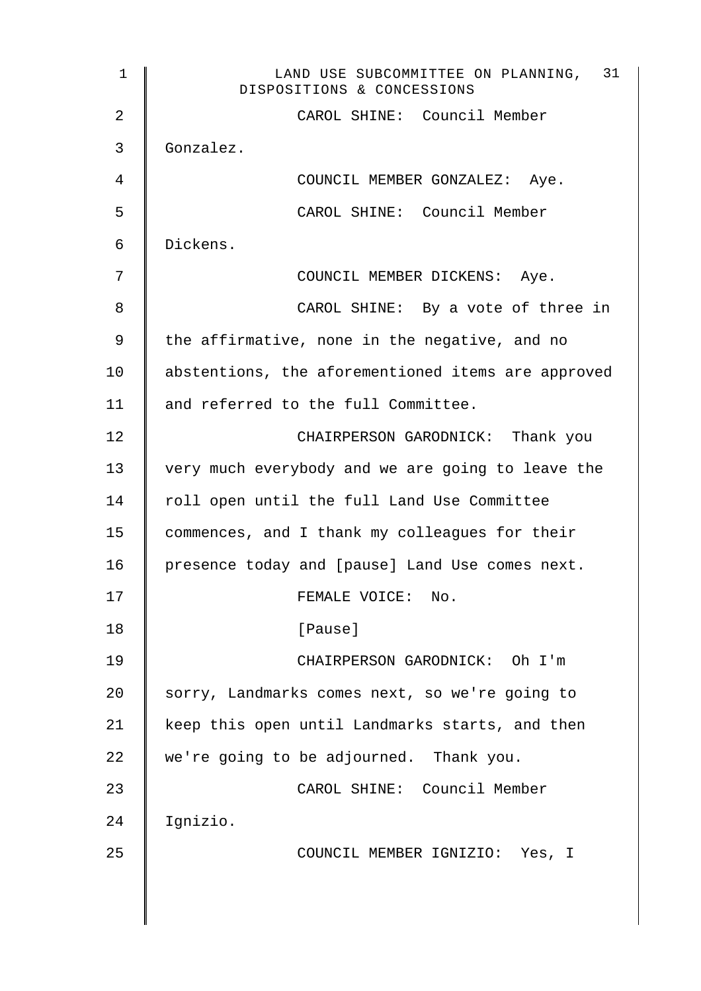| $\mathbf{1}$   | 31<br>LAND USE SUBCOMMITTEE ON PLANNING,<br>DISPOSITIONS & CONCESSIONS |
|----------------|------------------------------------------------------------------------|
| $\overline{2}$ | CAROL SHINE: Council Member                                            |
| 3              | Gonzalez.                                                              |
| 4              | COUNCIL MEMBER GONZALEZ: Aye.                                          |
| 5              | CAROL SHINE: Council Member                                            |
| 6              | Dickens.                                                               |
| 7              | COUNCIL MEMBER DICKENS: Aye.                                           |
| 8              | CAROL SHINE: By a vote of three in                                     |
| 9              | the affirmative, none in the negative, and no                          |
| 10             | abstentions, the aforementioned items are approved                     |
| 11             | and referred to the full Committee.                                    |
| 12             | CHAIRPERSON GARODNICK: Thank you                                       |
| 13             | very much everybody and we are going to leave the                      |
| 14             | roll open until the full Land Use Committee                            |
| 15             | commences, and I thank my colleagues for their                         |
| 16             | presence today and [pause] Land Use comes next.                        |
| 17             | FEMALE VOICE: No.                                                      |
| 18             | [Pause]                                                                |
| 19             | CHAIRPERSON GARODNICK: Oh I'm                                          |
| 20             | sorry, Landmarks comes next, so we're going to                         |
| 21             | keep this open until Landmarks starts, and then                        |
| 22             | we're going to be adjourned. Thank you.                                |
| 23             | CAROL SHINE: Council Member                                            |
| 24             | Ignizio.                                                               |
| 25             | COUNCIL MEMBER IGNIZIO: Yes, I                                         |
|                |                                                                        |
|                |                                                                        |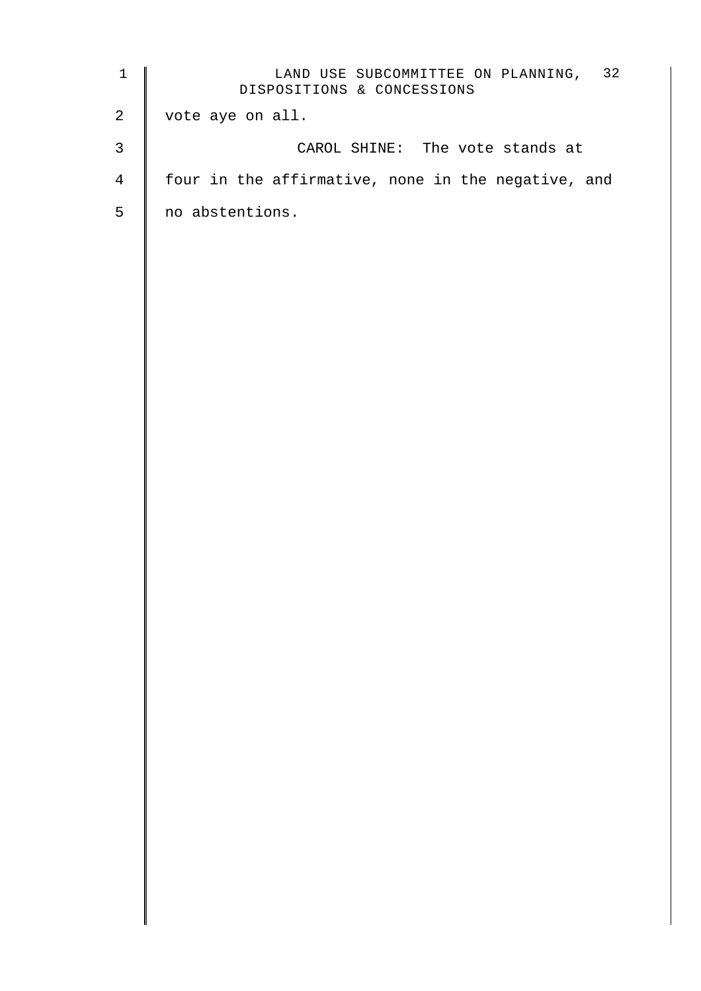| $\mathbf 1$    | LAND USE SUBCOMMITTEE ON PLANNING, 32<br>DISPOSITIONS & CONCESSIONS |
|----------------|---------------------------------------------------------------------|
| $\overline{a}$ | vote aye on all.                                                    |
| $\mathsf{3}$   | CAROL SHINE: The vote stands at                                     |
| 4              | four in the affirmative, none in the negative, and                  |
| 5              | no abstentions.                                                     |
|                |                                                                     |
|                |                                                                     |
|                |                                                                     |
|                |                                                                     |
|                |                                                                     |
|                |                                                                     |
|                |                                                                     |
|                |                                                                     |
|                |                                                                     |
|                |                                                                     |
|                |                                                                     |
|                |                                                                     |
|                |                                                                     |
|                |                                                                     |
|                |                                                                     |
|                |                                                                     |
|                |                                                                     |
|                |                                                                     |
|                |                                                                     |
|                |                                                                     |
|                |                                                                     |
|                |                                                                     |